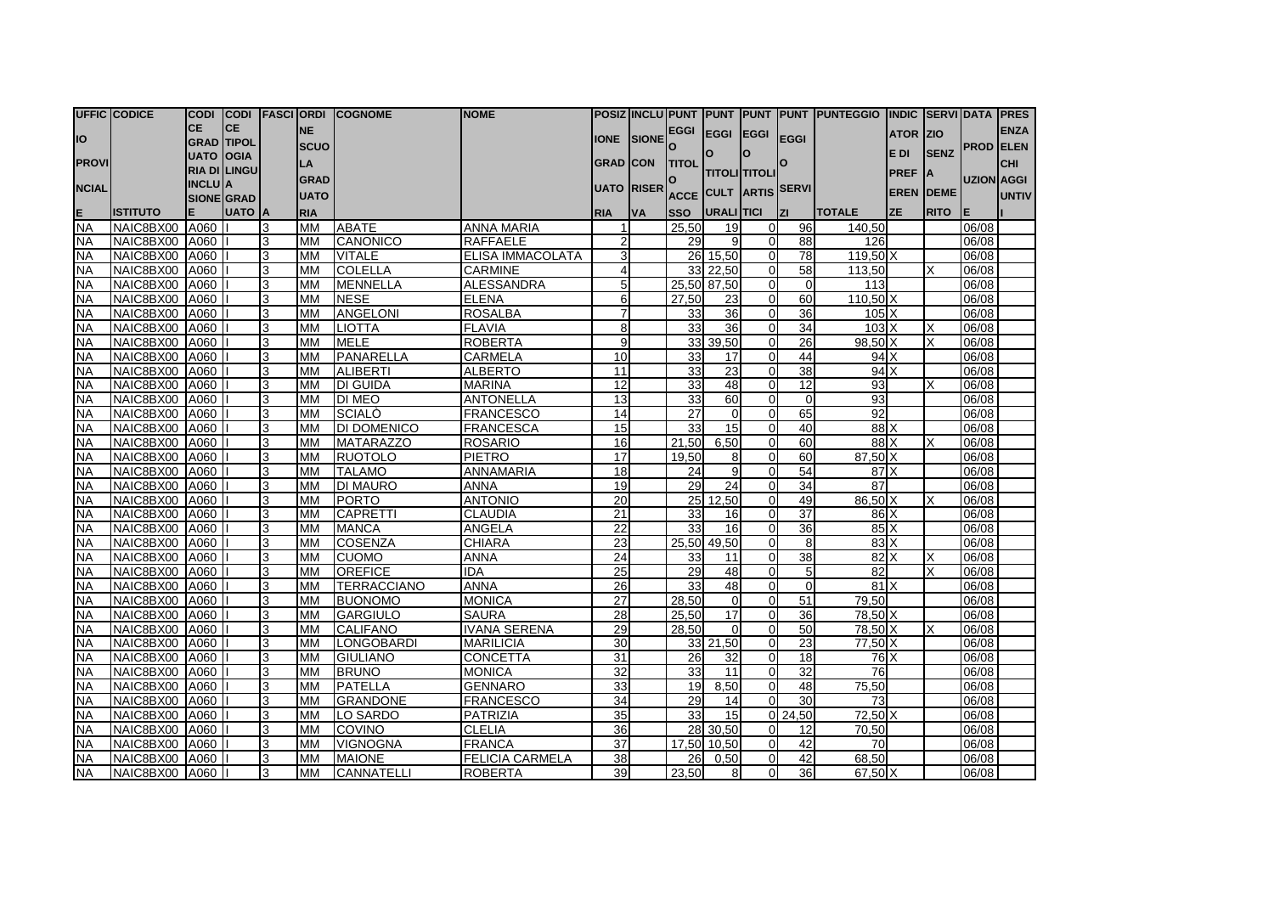|                        | <b>UFFIC CODICE</b>              |                                     |                     |        |                        | CODI CODI FASCIORDI COGNOME | <b>INOME</b>                    |                 |                   |              |                        |                            |                 | POSIZ  NCLU PUNT  PUNT  PUNT  PUNT  PUNTEGGIO  INDIC  SERVI DATA  PRES |                  |             |                  |              |
|------------------------|----------------------------------|-------------------------------------|---------------------|--------|------------------------|-----------------------------|---------------------------------|-----------------|-------------------|--------------|------------------------|----------------------------|-----------------|------------------------------------------------------------------------|------------------|-------------|------------------|--------------|
|                        |                                  | <b>CE</b>                           | ICE.                |        | <b>NE</b>              |                             |                                 |                 |                   |              | EGGI EGGI EGGI         |                            |                 |                                                                        | <b>ATOR ZIO</b>  |             |                  | <b>ENZA</b>  |
| IO                     |                                  |                                     | <b>GRAD TIPOL</b>   |        | <b>SCUO</b>            |                             |                                 | <b>IONE</b>     | SIONE             | $\mathbf{o}$ |                        |                            | <b>EGGI</b>     |                                                                        |                  |             | <b>PROD ELEN</b> |              |
| <b>PROVI</b>           |                                  | UATO OOGIA                          |                     |        | LA                     |                             |                                 | <b>GRAD CON</b> |                   | <b>TITOL</b> | ΙO                     | Ιo                         | O               |                                                                        | E DI             | <b>SENZ</b> |                  | <b>CHI</b>   |
|                        |                                  |                                     | <b>RIA DI LINGU</b> |        | <b>GRAD</b>            |                             |                                 |                 |                   | O            | <b>ITITOLIITITOLII</b> |                            |                 |                                                                        | <b>PREF</b>      | <b>IA</b>   | UZION AGGI       |              |
| <b>NCIAL</b>           |                                  | <b>INCLUIA</b><br><b>SIONE GRAD</b> |                     |        | <b>UATO</b>            |                             |                                 |                 | <b>UATO RISER</b> |              | ACCE CULT ARTIS SERVI  |                            |                 |                                                                        | <b>EREN DEME</b> |             |                  | <b>UNTIV</b> |
| E                      | <b>ISTITUTO</b>                  |                                     | <b>UATO</b> A       |        | <b>RIA</b>             |                             |                                 | <b>RIA</b>      | <b>VA</b>         | <b>SSO</b>   | URALITICI              |                            | <b>IZI</b>      | <b>TOTALE</b>                                                          | <b>ZE</b>        | <b>RITO</b> | ΙE               |              |
| <b>NA</b>              | NAIC8BX00                        | A060                                |                     | 3      | MM                     | <b>ABATE</b>                | <b>ANNA MARIA</b>               |                 |                   | 25,50        | 19                     | $\overline{0}$             | 96              | 140,50                                                                 |                  |             | 06/08            |              |
| <b>NA</b>              | NAIC8BX00 A060                   |                                     |                     | 3      | <b>MM</b>              | <b>CANONICO</b>             | <b>RAFFAELE</b>                 | $\overline{2}$  |                   | 29           | 9                      | $\Omega$                   | 88              | 126                                                                    |                  |             | 06/08            |              |
| <b>NA</b>              | NAIC8BX00 A060                   |                                     |                     | 3      | <b>MM</b>              | <b>VITALE</b>               | ELISA IMMACOLATA                | $\mathbf{3}$    |                   |              | 26 15,50               | $\overline{0}$             | $\overline{78}$ | 119.50 X                                                               |                  |             | 06/08            |              |
| <b>NA</b>              | NAIC8BX00 A060                   |                                     |                     | 3      | <b>MM</b>              | <b>COLELLA</b>              | <b>CARMINE</b>                  | $\overline{4}$  |                   | 33           | 22.50                  | $\Omega$                   | 58              | 113,50                                                                 |                  |             | 06/08            |              |
| <b>NA</b>              | NAIC8BX00 A060                   |                                     |                     | 3      | <b>MM</b>              | MENNELLA                    | <b>ALESSANDRA</b>               | $5\overline{)}$ |                   | 25,50        | 87,50                  | $\overline{0}$             | $\overline{0}$  | 113                                                                    |                  |             | 06/08            |              |
| <b>NA</b>              | NAIC8BX00 A060                   |                                     |                     | 3      | <b>MM</b>              | <b>NESE</b>                 | <b>ELENA</b>                    | 6               |                   | 27,50        | 23                     | $\overline{0}$             | 60              | 110,50 X                                                               |                  |             | 06/08            |              |
| <b>NA</b>              | NAIC8BX00 A060                   |                                     |                     | 3      | <b>MM</b>              | <b>ANGELONI</b>             | <b>ROSALBA</b>                  | $\overline{7}$  |                   | 33           | 36                     | $\overline{0}$             | 36              | $105\text{ X}$                                                         |                  |             | 06/08            |              |
| <b>NA</b>              | NAIC8BX00 A060                   |                                     |                     | 3      | <b>MM</b>              | LIOTTA                      | <b>FLAVIA</b>                   | 8               |                   | 33           | 36                     | $\overline{0}$             | 34              | $103\text{ X}$                                                         |                  |             | 06/08            |              |
| <b>NA</b>              | NAIC8BX00 A060                   |                                     |                     | 3      | <b>MM</b>              | <b>MELE</b>                 | <b>ROBERTA</b>                  | 9               |                   | 33           | 39,50                  | $\overline{0}$             | 26              | 98,50 X                                                                |                  |             | 06/08            |              |
| <b>NA</b>              | NAIC8BX00 A060                   |                                     |                     | 3      | <b>MM</b>              | PANARELLA                   | <b>CARMELA</b>                  | 10              |                   | 33           | 17                     | $\Omega$                   | 44              | 94X                                                                    |                  |             | 06/08            |              |
| <b>NA</b>              | NAIC8BX00 A060                   |                                     |                     | 3      | <b>MM</b>              | <b>ALIBERTI</b>             | <b>ALBERTO</b>                  | 11              |                   | 33           | 23                     | $\mathbf 0$                | 38              | 94 X                                                                   |                  |             | 06/08            |              |
| <b>NA</b>              | NAIC8BX00 A060                   |                                     |                     | 3      | <b>MM</b>              | <b>DI GUIDA</b>             | <b>MARINA</b>                   | $\overline{12}$ |                   | 33           | 48                     | $\Omega$                   | $\overline{12}$ | 93                                                                     |                  |             | 06/08            |              |
| <b>NA</b>              | NAIC8BX00 A060                   |                                     |                     | 3      | <b>MM</b>              | <b>DI MEO</b>               | <b>ANTONELLA</b>                | 13              |                   | 33           | 60                     | $\Omega$                   | $\Omega$        | 93                                                                     |                  |             | 06/08            |              |
| <b>NA</b>              | NAIC8BX00 A060                   |                                     |                     | 3      | <b>MM</b>              | <b>SCIALO</b>               | <b>FRANCESCO</b>                | 14              |                   | 27           | $\Omega$               | $\overline{0}$             | 65              | 92                                                                     |                  |             | 06/08            |              |
| <b>NA</b>              | NAIC8BX00 A060                   |                                     |                     | 3      | <b>MM</b>              | <b>DI DOMENICO</b>          | <b>FRANCESCA</b>                | 15              |                   | 33           | 15                     | $\overline{0}$             | 40              | 88 X                                                                   |                  |             | 06/08            |              |
| <b>NA</b>              | NAIC8BX00 A060                   |                                     |                     | 3      | <b>MM</b>              | MATARAZZO                   | <b>ROSARIO</b>                  | 16              |                   | 21,50        | 6.50                   | $\overline{0}$             | 60              | 88 X                                                                   |                  |             | 06/08            |              |
| <b>NA</b>              | NAIC8BX00 A060                   |                                     |                     | 3      | <b>MM</b>              | RUOTOLO                     | <b>PIETRO</b>                   | 17              |                   | 19,50        | 8 <sup>1</sup>         | $\overline{0}$             | 60              | 87,50 X                                                                |                  |             | 06/08            |              |
| <b>NA</b>              | NAIC8BX00 A060                   |                                     |                     | 3      | <b>MM</b>              | <b>TALAMO</b>               | <b>ANNAMARIA</b>                | 18              |                   | 24           | $\overline{9}$         | $\Omega$                   | 54              | 87X                                                                    |                  |             | 06/08            |              |
| <b>NA</b>              | NAIC8BX00 A060                   |                                     |                     | 3      | <b>MM</b>              | <b>DI MAURO</b>             | <b>ANNA</b>                     | 19              |                   | 29           | 24                     | $\overline{0}$             | 34              | 87                                                                     |                  |             | 06/08            |              |
| <b>NA</b>              | NAIC8BX00 A060                   |                                     |                     | 3      | <b>MM</b>              | <b>PORTO</b>                | <b>ANTONIO</b>                  | 20              |                   | 25           | 12,50                  | $\overline{0}$             | 49              | 86,50 X                                                                |                  | x           | 06/08            |              |
| <b>NA</b>              | NAIC8BX00 A060                   |                                     |                     | 3      | <b>MM</b>              | <b>CAPRETTI</b>             | <b>CLAUDIA</b>                  | 21              |                   | 33           | 16                     | $\Omega$                   | 37              | 86 X                                                                   |                  |             | 06/08            |              |
| <b>NA</b>              | NAIC8BX00 A060                   |                                     |                     | 3      | <b>MM</b>              | <b>MANCA</b>                | <b>ANGELA</b>                   | $\overline{22}$ |                   | 33           | 16                     | $\Omega$                   | 36              | $85\text{X}$                                                           |                  |             | 06/08            |              |
| <b>NA</b>              | NAIC8BX00 A060                   |                                     |                     | 3      | <b>MM</b>              | <b>COSENZA</b>              | <b>CHIARA</b>                   | 23              |                   | 25,50        | 49,50                  | $\Omega$                   | 8               | 83X                                                                    |                  |             | 06/08            |              |
| <b>NA</b>              | NAIC8BX00 A060                   |                                     |                     | 3      | <b>MM</b>              | <b>CUOMO</b>                | <b>ANNA</b>                     | 24              |                   | 33           | 11                     | $\Omega$                   | 38              | 82 X                                                                   |                  |             | 06/08            |              |
| <b>NA</b>              | NAIC8BX00 A060                   |                                     |                     | 3      | <b>MM</b>              | <b>OREFICE</b>              | <b>IDA</b>                      | $\overline{25}$ |                   | 29           | 48                     | $\Omega$                   | 5               | 82                                                                     |                  |             | 06/08            |              |
| <b>NA</b>              | NAIC8BX00 A060                   |                                     |                     | 3      | <b>MM</b>              | TERRACCIANO                 | <b>ANNA</b>                     | 26              |                   | 33           | 48                     | $\overline{0}$             | $\Omega$        | 81X                                                                    |                  |             | 06/08            |              |
| <b>NA</b>              | NAIC8BX00 A060                   |                                     |                     | 3      | <b>MM</b>              | <b>BUONOMO</b>              | <b>MONICA</b>                   | $\overline{27}$ |                   | 28.50        | $\Omega$               | $\overline{0}$             | $\overline{51}$ | 79,50                                                                  |                  |             | 06/08            |              |
| <b>NA</b>              | NAIC8BX00 A060                   |                                     |                     | 3      | <b>MM</b>              | GARGIULO                    | <b>SAURA</b>                    | 28              |                   | 25,50        | 17                     | $\overline{0}$             | 36              | 78,50 X                                                                |                  |             | 06/08            |              |
| <b>NA</b>              | NAIC8BX00 A060                   |                                     |                     | 3      | <b>MM</b>              | <b>CALIFANO</b>             | <b>IVANA SERENA</b>             | 29              |                   | 28,50        | $\Omega$               | $\overline{0}$             | 50              | 78,50 X                                                                |                  |             | 06/08            |              |
| <b>NA</b>              | NAIC8BX00 A060                   |                                     |                     | 3      | <b>MM</b>              | <b>LONGOBARDI</b>           | <b>MARILICIA</b>                | 30              |                   |              | 33 21.50               | $\Omega$                   | 23              | 77.50 X                                                                |                  |             | 06/08            |              |
| <b>NA</b>              | NAIC8BX00 A060                   |                                     |                     | 3<br>3 | <b>MM</b><br><b>MM</b> | <b>GIULIANO</b>             | <b>CONCETTA</b>                 | 31              |                   | 26           | 32                     | $\overline{0}$<br>$\Omega$ | 18<br>32        | 76 X                                                                   |                  |             | 06/08            |              |
| <b>NA</b>              | NAIC8BX00 A060<br>NAIC8BX00 A060 |                                     |                     | 3      | <b>MM</b>              | <b>BRUNO</b><br>PATELLA     | <b>MONICA</b><br><b>GENNARO</b> | 32              |                   | 33<br>19     | 11                     | $\overline{0}$             | 48              | 76                                                                     |                  |             | 06/08<br>06/08   |              |
| <b>NA</b><br><b>NA</b> | NAIC8BX00 A060                   |                                     |                     | 3      | <b>MM</b>              | <b>GRANDONE</b>             | <b>FRANCESCO</b>                | 33<br>34        |                   | 29           | 8,50<br>14             | $\Omega$                   | 30              | 75,50<br>73                                                            |                  |             | 06/08            |              |
| <b>NA</b>              | NAIC8BX00 A060                   |                                     |                     | 3      | MM                     | LO SARDO                    | <b>PATRIZIA</b>                 | 35              |                   | 33           | 15                     |                            | 0 24.50         | 72.50 X                                                                |                  |             | 06/08            |              |
| <b>NA</b>              | NAIC8BX00 A060                   |                                     |                     | 3      | <b>MM</b>              | <b>COVINO</b>               | <b>CLELIA</b>                   | 36              |                   |              | 28 30,50               | $\Omega$                   | 12              | 70,50                                                                  |                  |             | 06/08            |              |
| <b>NA</b>              | NAIC8BX00                        | A060                                |                     | 3      | <b>MM</b>              | <b>VIGNOGNA</b>             | <b>FRANCA</b>                   | $\overline{37}$ |                   | 17,50        | 10,50                  | $\overline{0}$             | 42              | 70                                                                     |                  |             | 06/08            |              |
| <b>NA</b>              | NAIC8BX00 A060                   |                                     |                     | 3      | <b>MM</b>              | <b>IMAIONE</b>              | <b>FELICIA CARMELA</b>          | 38              |                   | 26           | 0,50                   | $\overline{0}$             | 42              | 68,50                                                                  |                  |             | 06/08            |              |
| <b>NA</b>              | NAIC8BX00 A060                   |                                     |                     | 3      | <b>MM</b>              | <b>CANNATELLI</b>           | <b>ROBERTA</b>                  | 39              |                   | 23,50        | 8 <sup>1</sup>         | $\overline{0}$             | 36              | 67,50 X                                                                |                  |             | 06/08            |              |
|                        |                                  |                                     |                     |        |                        |                             |                                 |                 |                   |              |                        |                            |                 |                                                                        |                  |             |                  |              |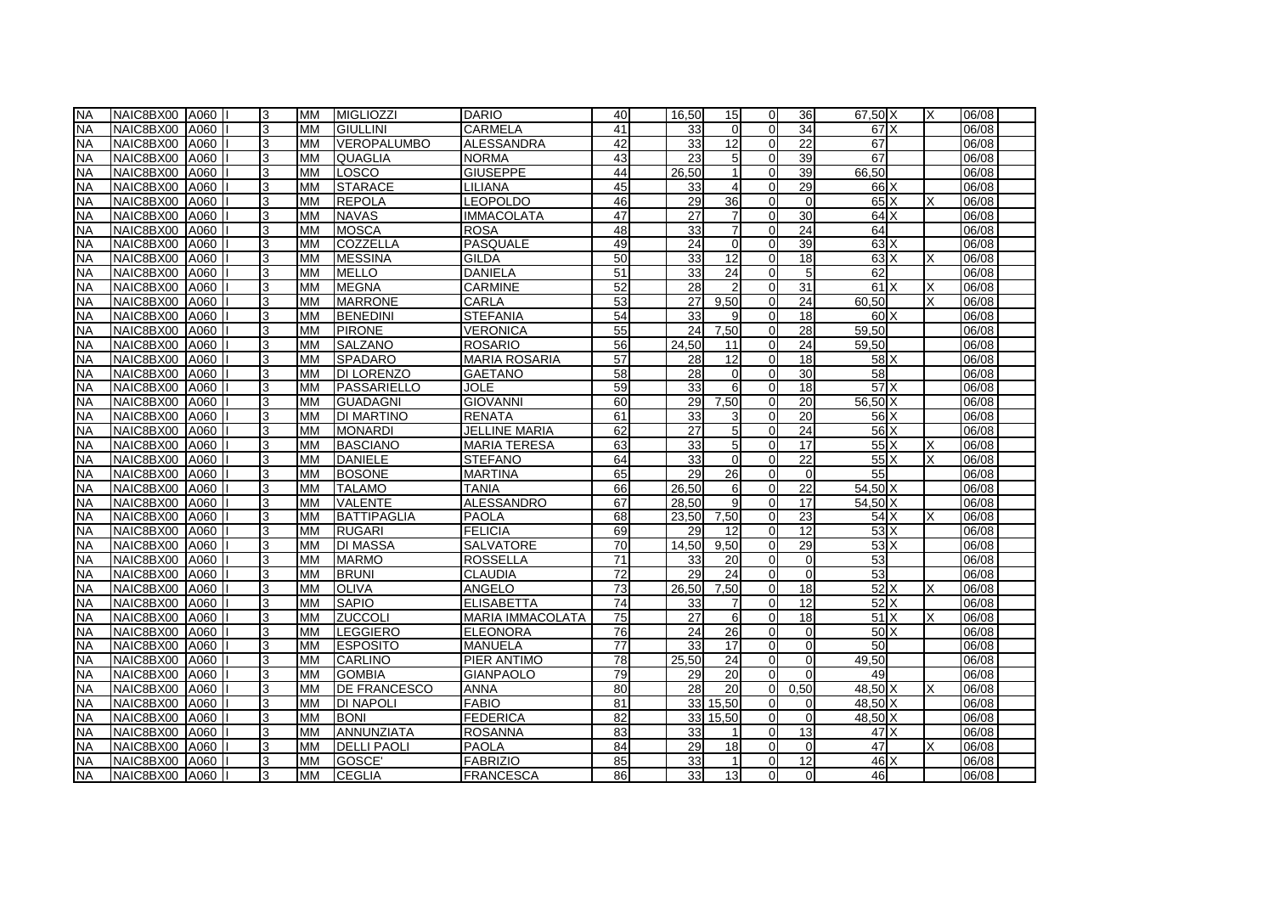| <b>NA</b> | NAIC8BX00 A060 |      | 3 | MM        | MIGLIOZZI           | <b>DARIO</b>            | 40              | 16.50              | 15              | $\Omega$       | 36              | 67.50 X         | X | 06/08 |
|-----------|----------------|------|---|-----------|---------------------|-------------------------|-----------------|--------------------|-----------------|----------------|-----------------|-----------------|---|-------|
| <b>NA</b> | NAIC8BX00 A060 |      | 3 | <b>MM</b> | <b>GIULLINI</b>     | <b>CARMELA</b>          | 41              | 33                 | $\Omega$        | $\overline{0}$ | $\overline{34}$ | 67X             |   | 06/08 |
| <b>NA</b> | NAIC8BX00 A060 |      | 3 | <b>MM</b> | <b>VEROPALUMBO</b>  | <b>ALESSANDRA</b>       | 42              | 33                 | 12              | $\Omega$       | 22              | 67              |   | 06/08 |
| <b>NA</b> | NAIC8BX00 A060 |      | 3 | <b>MM</b> | <b>QUAGLIA</b>      | <b>NORMA</b>            | 43              | 23                 | 5 <sup>1</sup>  | $\Omega$       | 39              | 67              |   | 06/08 |
| <b>NA</b> | NAIC8BX00 A060 |      | 3 | <b>MM</b> | LOSCO               | <b>GIUSEPPE</b>         | 44              | 26,50              | $\mathbf{1}$    | $\Omega$       | 39              | 66,50           |   | 06/08 |
| <b>NA</b> | NAIC8BX00 A060 |      | 3 | <b>MM</b> | <b>STARACE</b>      | <b>LILIANA</b>          | 45              | 33                 |                 | $\overline{0}$ | 29              | 66 X            |   | 06/08 |
| <b>NA</b> | NAIC8BX00 A060 |      | 3 | <b>MM</b> | <b>REPOLA</b>       | LEOPOLDO                | 46              | 29                 | 36              | $\overline{0}$ | $\overline{0}$  | $65\text{X}$    |   | 06/08 |
| <b>NA</b> | NAIC8BX00 A060 |      | 3 | <b>MM</b> | <b>NAVAS</b>        | <b>IMMACOLATA</b>       | 47              | 27                 | $\overline{7}$  | $\overline{0}$ | 30              | 64X             |   | 06/08 |
| <b>NA</b> | NAIC8BX00 A060 |      | 3 | <b>MM</b> | MOSCA               | <b>ROSA</b>             | 48              | 33                 | $\overline{7}$  | $\overline{0}$ | 24              | 64              |   | 06/08 |
| <b>NA</b> | NAIC8BX00 A060 |      | 3 | <b>MM</b> | <b>COZZELLA</b>     | <b>PASQUALE</b>         | 49              | 24                 | $\Omega$        | $\Omega$       | 39              | 63X             |   | 06/08 |
| <b>NA</b> | NAIC8BX00 A060 |      | 3 | <b>MM</b> | <b>MESSINA</b>      | <b>GILDA</b>            | 50              | 33                 | 12              | $\Omega$       | $\overline{18}$ | 63X             |   | 06/08 |
| NA        | NAIC8BX00 A060 |      | 3 | <b>MM</b> | <b>MELLO</b>        | <b>DANIELA</b>          | 51              | 33                 | $\overline{24}$ | $\Omega$       | 5               | 62              |   | 06/08 |
| <b>NA</b> | NAIC8BX00 A060 |      | 3 | <b>MM</b> | MEGNA               | <b>CARMINE</b>          | 52              | 28                 |                 | $\overline{0}$ | $\overline{31}$ | 61X             |   | 06/08 |
| <b>NA</b> | NAIC8BX00      | A060 | 3 | <b>MM</b> | <b>MARRONE</b>      | <b>CARLA</b>            | 53              | 27                 | 9.50            | $\Omega$       | 24              | 60.50           |   | 06/08 |
| <b>NA</b> | NAIC8BX00 A060 |      | 3 | <b>MM</b> | BENEDINI            | <b>STEFANIA</b>         | 54              | $33$               | 9               | $\overline{0}$ | 18              | 60 <sup>X</sup> |   | 06/08 |
| <b>NA</b> | NAIC8BX00 A060 |      | 3 | <b>MM</b> | <b>PIRONE</b>       | <b>VERONICA</b>         | 55              | 24                 | 7,50            | $\overline{0}$ | $\overline{28}$ | 59,50           |   | 06/08 |
| <b>NA</b> | NAIC8BX00 A060 |      | 3 | <b>MM</b> | <b>SALZANO</b>      | <b>ROSARIO</b>          | 56              | 24,50              | 11              | $\Omega$       | 24              | 59,50           |   | 06/08 |
| <b>NA</b> | NAIC8BX00 A060 |      | 3 | <b>MM</b> | <b>SPADARO</b>      | <b>MARIA ROSARIA</b>    | 57              | 28                 | 12              | $\overline{0}$ | 18              | 58 X            |   | 06/08 |
| <b>NA</b> | NAIC8BX00 A060 |      | 3 | <b>MM</b> | <b>DI LORENZO</b>   | <b>GAETANO</b>          | 58              | 28                 | $\Omega$        | $\Omega$       | 30              | 58              |   | 06/08 |
| <b>NA</b> | NAIC8BX00 A060 |      | 3 | <b>MM</b> | PASSARIELLO         | <b>JOLE</b>             | 59              | $33$               | 6               | $\Omega$       | 18              | $57$ $\times$   |   | 06/08 |
| <b>NA</b> | NAIC8BX00 A060 |      | 3 | <b>MM</b> | <b>GUADAGNI</b>     | <b>GIOVANNI</b>         | 60              | 29                 | 7,50            | $\Omega$       | $\overline{20}$ | 56,50 X         |   | 06/08 |
| <b>NA</b> | NAIC8BX00      | A060 | 3 | <b>MM</b> | <b>DI MARTINO</b>   | <b>RENATA</b>           | 61              | 33                 | $\overline{3}$  | $\Omega$       | 20              | 56 X            |   | 06/08 |
| <b>NA</b> | NAIC8BX00 A060 |      | 3 | <b>MM</b> | MONARDI             | <b>JELLINE MARIA</b>    | 62              | $\overline{27}$    | 5 <sub>5</sub>  | $\Omega$       | $\overline{24}$ | $56$ $\times$   |   | 06/08 |
| <b>NA</b> | NAIC8BX00 A060 |      | 3 | <b>MM</b> | <b>BASCIANO</b>     | <b>MARIA TERESA</b>     | 63              | 33                 | 5 <sup>1</sup>  | $\Omega$       | 17              | $55\text{X}$    |   | 06/08 |
| <b>NA</b> | NAIC8BX00 A060 |      | 3 | <b>MM</b> | <b>DANIELE</b>      | <b>STEFANO</b>          | 64              | 33                 | $\Omega$        | $\overline{0}$ | 22              | $55\text{X}$    |   | 06/08 |
| <b>NA</b> | NAIC8BX00 A060 |      | 3 | <b>MM</b> | <b>BOSONE</b>       | <b>MARTINA</b>          | 65              | 29                 | 26              | $\overline{0}$ | 0               | 55              |   | 06/08 |
| <b>NA</b> | NAIC8BX00 A060 |      | 3 | <b>MM</b> | <b>TALAMO</b>       | <b>TANIA</b>            | 66              | 26,50              | $6 \mid$        | $\overline{0}$ | 22              | 54,50 X         |   | 06/08 |
| <b>NA</b> | NAIC8BX00 A060 |      | 3 | <b>MM</b> | VALENTE             | <b>ALESSANDRO</b>       | 67              | 28,50              | $\overline{9}$  | $\overline{0}$ | 17              | 54,50 X         |   | 06/08 |
| <b>NA</b> | NAIC8BX00 A060 |      | 3 | <b>MM</b> | <b>BATTIPAGLIA</b>  | <b>PAOLA</b>            | 68              | $\overline{2}3,50$ | 7.50            | $\Omega$       | 23              | 54X             | Χ | 06/08 |
| <b>NA</b> | NAIC8BX00 A060 |      | 3 | <b>MM</b> | RUGARI              | <b>FELICIA</b>          | 69              | 29                 | 12              | $\Omega$       | $\overline{12}$ | 53X             |   | 06/08 |
| <b>NA</b> | NAIC8BX00      | A060 | 3 | <b>MM</b> | <b>DI MASSA</b>     | <b>SALVATORE</b>        | 70              | 14.50              | 9.50            | $\Omega$       | 29              | $53$ $X$        |   | 06/08 |
| <b>NA</b> | NAIC8BX00 A060 |      | 3 | <b>MM</b> | <b>MARMO</b>        | <b>ROSSELLA</b>         | 71              | $33$               | 20              | $\Omega$       | $\mathbf 0$     | 53              |   | 06/08 |
| <b>NA</b> | NAIC8BX00 A060 |      | 3 | <b>MM</b> | <b>BRUNI</b>        | <b>CLAUDIA</b>          | $\overline{72}$ | 29                 | $\overline{24}$ | $\Omega$       | $\overline{0}$  | 53              |   | 06/08 |
| <b>NA</b> | NAIC8BX00      | A060 | 3 | <b>MM</b> | <b>OLIVA</b>        | ANGELO                  | 73              | 26,50              | 7,50            | $\Omega$       | 18              | $52$ $X$        |   | 06/08 |
| <b>NA</b> | NAIC8BX00 A060 |      | 3 | <b>MM</b> | <b>SAPIO</b>        | <b>ELISABETTA</b>       | 74              | 33                 | 7               | $\overline{0}$ | 12              | $52$ X          |   | 06/08 |
| <b>NA</b> | NAIC8BX00 A060 |      | 3 | <b>MM</b> | <b>ZUCCOLI</b>      | <b>MARIA IMMACOLATA</b> | 75              | 27                 | $6 \mid$        | $\overline{0}$ | $\overline{18}$ | 51X             |   | 06/08 |
| <b>NA</b> | NAIC8BX00 A060 |      | 3 | <b>MM</b> | LEGGIERO            | <b>ELEONORA</b>         | 76              | 24                 | 26              | $\overline{0}$ | 0               | 50X             |   | 06/08 |
| <b>NA</b> | NAIC8BX00 A060 |      | 3 | <b>MM</b> | <b>IESPOSITO</b>    | <b>MANUELA</b>          | 77              | 33                 | 17              | $\Omega$       | $\Omega$        | 50              |   | 06/08 |
| <b>NA</b> | NAIC8BX00 A060 |      | 3 | <b>MM</b> | <b>CARLINO</b>      | PIER ANTIMO             | 78              | 25,50              | 24              | $\Omega$       | $\overline{0}$  | 49.50           |   | 06/08 |
| <b>NA</b> | NAIC8BX00 A060 |      | 3 | <b>MM</b> | <b>GOMBIA</b>       | <b>GIANPAOLO</b>        | 79              | 29                 | $\overline{20}$ | $\Omega$       | $\Omega$        | 49              |   | 06/08 |
| <b>NA</b> | NAIC8BX00 A060 |      | 3 | <b>MM</b> | <b>DE FRANCESCO</b> | <b>ANNA</b>             | 80              | 28                 | 20 <sup>1</sup> | $\Omega$       | 0.50            | 48.50 X         |   | 06/08 |
| <b>NA</b> | NAIC8BX00      | A060 | 3 | <b>MM</b> | <b>DI NAPOLI</b>    | <b>FABIO</b>            | 81              | 33                 | 15,50           | $\Omega$       | $\Omega$        | 48,50 X         |   | 06/08 |
| <b>NA</b> | NAIC8BX00 A060 |      | 3 | <b>MM</b> | <b>BONI</b>         | <b>FEDERICA</b>         | $\overline{82}$ | 33                 | 15,50           | $\overline{0}$ | $\Omega$        | 48,50 X         |   | 06/08 |
| <b>NA</b> | NAIC8BX00      | A060 | 3 | <b>MM</b> | ANNUNZIATA          | <b>ROSANNA</b>          | 83              | 33                 |                 | $\Omega$       | 13              | 47 X            |   | 06/08 |
| <b>NA</b> | NAIC8BX00      | A060 | 3 | <b>MM</b> | <b>DELLI PAOLI</b>  | <b>PAOLA</b>            | 84              | 29                 | 18              | $\Omega$       | $\Omega$        | 47              |   | 06/08 |
| <b>NA</b> | NAIC8BX00 A060 |      | 3 | <b>MM</b> | GOSCE'              | <b>FABRIZIO</b>         | 85              | 33                 | 1               | $\overline{0}$ | 12              | 46 X            |   | 06/08 |
| <b>NA</b> | NAIC8BX00 A060 |      | 3 | <b>MM</b> | <b>CEGLIA</b>       | <b>FRANCESCA</b>        | 86              | 33                 | 13              | $\Omega$       | $\overline{0}$  | 46              |   | 06/08 |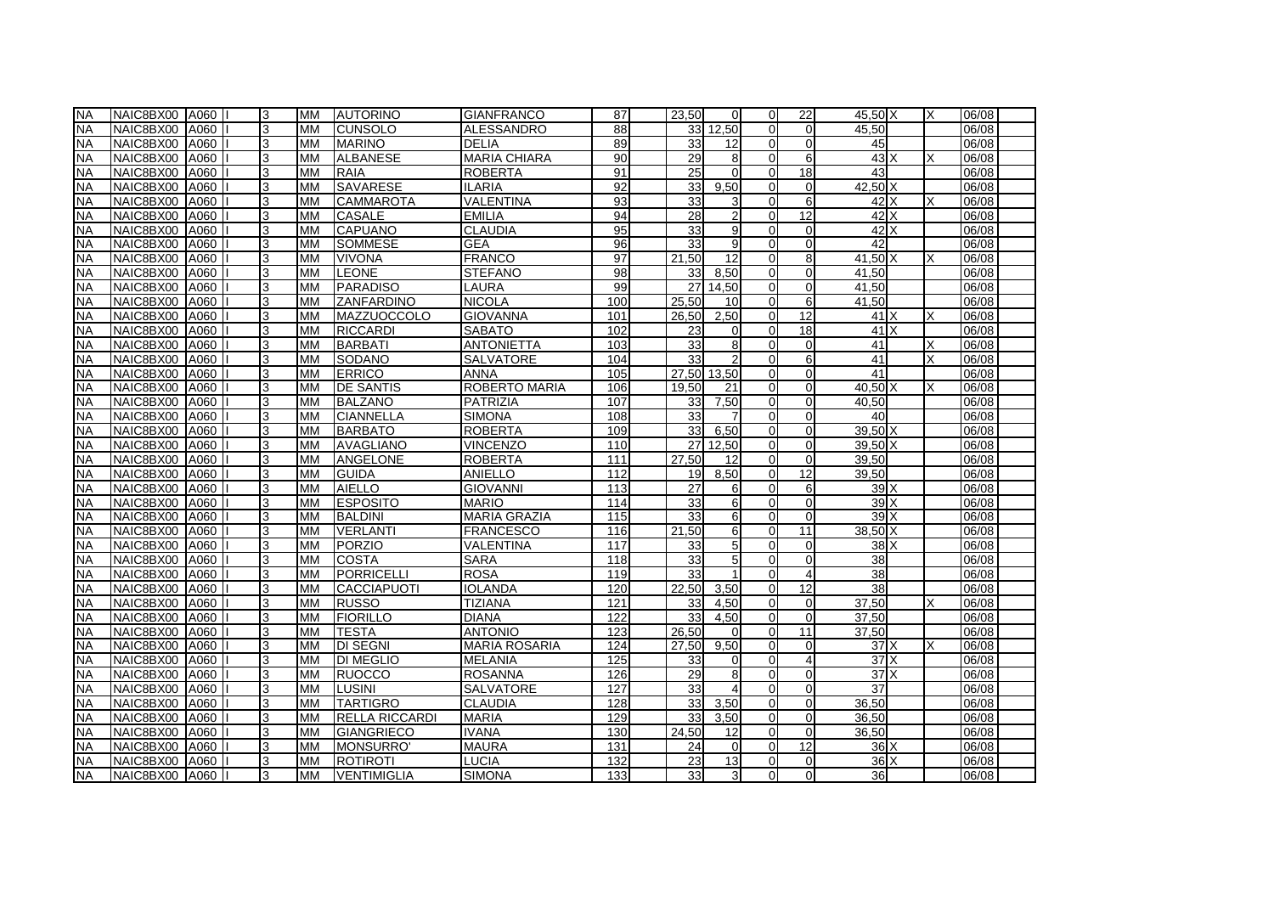| <b>NA</b> | NAIC8BX00 A060 |      | 3 | <b>MM</b> | <b>AUTORINO</b>       | <b>GIANFRANCO</b>    | 87               | 23.50           | $\Omega$        | $\Omega$       | 22              | 45.50 X         | X | 06/08 |
|-----------|----------------|------|---|-----------|-----------------------|----------------------|------------------|-----------------|-----------------|----------------|-----------------|-----------------|---|-------|
| <b>NA</b> | NAIC8BX00 A060 |      | 3 | <b>MM</b> | ICUNSOLO              | <b>ALESSANDRO</b>    | $\overline{88}$  |                 | 33<br>12.50     | $\Omega$       | $\Omega$        | 45.50           |   | 06/08 |
| <b>NA</b> | NAIC8BX00 A060 |      | 3 | <b>MM</b> | <b>MARINO</b>         | <b>DELIA</b>         | 89               | $33$            | 12              | $\Omega$       | $\Omega$        | 45              |   | 06/08 |
| <b>NA</b> | NAIC8BX00 A060 |      | 3 | <b>MM</b> | ALBANESE              | <b>MARIA CHIARA</b>  | 90               | 29              | 8               | $\Omega$       | 6               | 43X             |   | 06/08 |
| <b>NA</b> | NAIC8BX00 A060 |      | 3 | <b>MM</b> | <b>RAIA</b>           | <b>ROBERTA</b>       | 91               | $\overline{25}$ | $\Omega$        | $\overline{0}$ | $\overline{18}$ | 43              |   | 06/08 |
| <b>NA</b> | NAIC8BX00 A060 |      | 3 | <b>MM</b> | <b>SAVARESE</b>       | <b>ILARIA</b>        | 92               | 33              | 9,50            | $\overline{0}$ | 0               | $42,50$ X       |   | 06/08 |
| <b>NA</b> | NAIC8BX00      | A060 | 3 | <b>MM</b> | <b>CAMMAROTA</b>      | <b>VALENTINA</b>     | 93               | 33              | $\overline{3}$  | $\Omega$       | 6               | $42$ X          |   | 06/08 |
| <b>NA</b> | NAIC8BX00 A060 |      | 3 | <b>MM</b> | <b>CASALE</b>         | <b>EMILIA</b>        | 94               | 28              | $\overline{2}$  | $\overline{0}$ | 12              | 42 X            |   | 06/08 |
| <b>NA</b> | NAIC8BX00 A060 |      | 3 | <b>MM</b> | <b>CAPUANO</b>        | <b>CLAUDIA</b>       | 95               | 33              | 9               | $\overline{0}$ | $\overline{0}$  | $42$ $X$        |   | 06/08 |
| <b>NA</b> | NAIC8BX00 A060 |      | 3 | <b>MM</b> | <b>SOMMESE</b>        | <b>GEA</b>           | 96               | 33              | $\overline{9}$  | $\Omega$       | $\Omega$        | 42              |   | 06/08 |
| <b>NA</b> | NAIC8BX00 A060 |      | 3 | <b>MM</b> | <b>VIVONA</b>         | <b>FRANCO</b>        | 97               | 21.50           | 12              | $\Omega$       | 8               | 41.50 X         |   | 06/08 |
| <b>NA</b> | NAIC8BX00 A060 |      | 3 | <b>MM</b> | <b>LEONE</b>          | <b>STEFANO</b>       | 98               | 33              | 8.50            | $\mathbf{0}$   | $\overline{0}$  | 41.50           |   | 06/08 |
| <b>NA</b> | NAIC8BX00 A060 |      | 3 | <b>MM</b> | PARADISO              | LAURA                | 99               | $\overline{27}$ | 14.50           | $\overline{0}$ | $\Omega$        | 41,50           |   | 06/08 |
| <b>NA</b> | NAIC8BX00      | A060 | 3 | <b>MM</b> | ZANFARDINO            | <b>NICOLA</b>        | 100              | 25.50           | 10 <sup>1</sup> | $\Omega$       | 6               | 41,50           |   | 06/08 |
| <b>NA</b> | NAIC8BX00 A060 |      | 3 | <b>MM</b> | MAZZUOCCOLO           | <b>GIOVANNA</b>      | 101              | 26,50           | 2,50            | $\overline{0}$ | 12              | 41X             | X | 06/08 |
| <b>NA</b> | NAIC8BX00 A060 |      | 3 | <b>MM</b> | <b>RICCARDI</b>       | <b>SABATO</b>        | 102              | 23              | $\Omega$        | $\Omega$       | $\overline{18}$ | 41X             |   | 06/08 |
| <b>NA</b> | NAIC8BX00      | A060 | 3 | <b>MM</b> | <b>BARBATI</b>        | <b>ANTONIETTA</b>    | 103              | 33              | 8 <sup>1</sup>  | $\Omega$       | $\Omega$        | 41              |   | 06/08 |
| <b>NA</b> | NAIC8BX00 A060 |      | 3 | <b>MM</b> | <b>SODANO</b>         | SALVATORE            | 104              | 33              | $\overline{2}$  | $\mathbf{0}$   | 6               | 41              |   | 06/08 |
| <b>NA</b> | NAIC8BX00 A060 |      | 3 | <b>MM</b> | <b>ERRICO</b>         | <b>ANNA</b>          | 105              | 27.50           | 13.50           | $\Omega$       | $\Omega$        | 41              |   | 06/08 |
| <b>NA</b> | NAIC8BX00      | A060 | 3 | <b>MM</b> | <b>DE SANTIS</b>      | ROBERTO MARIA        | 106              | 19.50           | 21              | $\Omega$       | $\overline{0}$  | 40.50 X         |   | 06/08 |
| <b>NA</b> | NAIC8BX00      | A060 | 3 | <b>MM</b> | BALZANO               | PATRIZIA             | 107              | 33              | 7,50            | $\Omega$       | $\overline{0}$  | 40.50           |   | 06/08 |
| <b>NA</b> | NAIC8BX00      | A060 | 3 | <b>MM</b> | <b>CIANNELLA</b>      | <b>SIMONA</b>        | 108              | 33              |                 | $\Omega$       | $\Omega$        | 40              |   | 06/08 |
| <b>NA</b> | NAIC8BX00 A060 |      | 3 | <b>MM</b> | <b>BARBATO</b>        | <b>ROBERTA</b>       | 109              | 33              | 6,50            | $\mathbf{0}$   | $\Omega$        | $39,50$ X       |   | 06/08 |
| <b>NA</b> | NAIC8BX00      | A060 | 3 | <b>MM</b> | AVAGLIANO             | <b>VINCENZO</b>      | 110              | 27              | 12.50           | $\Omega$       | $\overline{0}$  | 39.50 X         |   | 06/08 |
| <b>NA</b> | NAIC8BX00      | A060 | 3 | <b>MM</b> | ANGELONE              | <b>ROBERTA</b>       | 111              | 27,50           | 12              | $\mathbf{0}$   | $\Omega$        | 39,50           |   | 06/08 |
| <b>NA</b> | NAIC8BX00 A060 |      | 3 | <b>MM</b> | GUIDA                 | <b>ANIELLO</b>       | 112              | 19              | 8,50            | $\overline{0}$ | 12              | 39,50           |   | 06/08 |
| <b>NA</b> | NAIC8BX00      | A060 | 3 | <b>MM</b> | <b>AIELLO</b>         | <b>GIOVANNI</b>      | 113              | 27              | 6               | $\overline{0}$ | 6               | 39 X            |   | 06/08 |
| <b>NA</b> | NAIC8BX00 A060 |      | 3 | <b>MM</b> | <b>ESPOSITO</b>       | <b>MARIO</b>         | 114              | 33              | $6 \mid$        | $\mathbf{0}$   | $\Omega$        | 39X             |   | 06/08 |
| <b>NA</b> | NAIC8BX00 A060 |      | 3 | <b>MM</b> | <b>BALDINI</b>        | <b>MARIA GRAZIA</b>  | 115              | 33              | $6 \mid$        | $\Omega$       | $\Omega$        | 39X             |   | 06/08 |
| <b>NA</b> | NAIC8BX00 A060 |      | 3 | <b>MM</b> | <b>VERLANTI</b>       | <b>FRANCESCO</b>     | 116              | 21,50           | 6               | $\Omega$       | 11              | $38,50$ X       |   | 06/08 |
| <b>NA</b> | NAIC8BX00      | A060 | 3 | <b>MM</b> | PORZIO                | <b>VALENTINA</b>     | 117              | 33              | 5 <sub>5</sub>  | $\Omega$       | $\overline{0}$  | $38$ $X$        |   | 06/08 |
| <b>NA</b> | NAIC8BX00 A060 |      | 3 | <b>MM</b> | ICOSTA                | <b>SARA</b>          | 118              | 33              | 5 <sub>5</sub>  | $\Omega$       | $\Omega$        | 38              |   | 06/08 |
| <b>NA</b> | NAIC8BX00 A060 |      | 3 | <b>MM</b> | PORRICELLI            | <b>ROSA</b>          | 119              | 33              |                 | $\Omega$       | 4               | $\overline{38}$ |   | 06/08 |
| <b>NA</b> | NAIC8BX00      | A060 | 3 | <b>MM</b> | CACCIAPUOTI           | <b>IOLANDA</b>       | 120              | 22.50           | 3,50            | $\Omega$       | 12              | 38              |   | 06/08 |
| <b>NA</b> | NAIC8BX00      | A060 | 3 | <b>MM</b> | <b>RUSSO</b>          | <b>TIZIANA</b>       | 121              | 33              | 4,50            | $\overline{0}$ | 0               | 37,50           | Χ | 06/08 |
| <b>NA</b> | NAIC8BX00 A060 |      | 3 | <b>MM</b> | <b>FIORILLO</b>       | <b>DIANA</b>         | $\overline{122}$ | 33              | 4.50            | $\overline{0}$ | $\Omega$        | 37,50           |   | 06/08 |
| <b>NA</b> | NAIC8BX00 A060 |      | 3 | <b>MM</b> | <b>TESTA</b>          | <b>ANTONIO</b>       | 123              | 26,50           | $\Omega$        | $\overline{0}$ | 11              | 37,50           |   | 06/08 |
| <b>NA</b> | NAIC8BX00 A060 |      | 3 | <b>MM</b> | <b>DI SEGNI</b>       | <b>MARIA ROSARIA</b> | 124              | 27,50           | 9.50            | $\Omega$       | $\Omega$        | 37X             |   | 06/08 |
| <b>NA</b> | NAIC8BX00      | A060 | 3 | <b>MM</b> | <b>DI MEGLIO</b>      | <b>MELANIA</b>       | 125              | 33              | $\Omega$        | $\Omega$       | 4               | 37X             |   | 06/08 |
| <b>NA</b> | NAIC8BX00 A060 |      | 3 | <b>MM</b> | <b>RUOCCO</b>         | <b>ROSANNA</b>       | 126              | $\overline{29}$ | 8               | $\Omega$       | $\Omega$        | 37X             |   | 06/08 |
| <b>NA</b> | NAIC8BX00      | A060 | 3 | <b>MM</b> | <b>I</b> LUSINI       | <b>SALVATORE</b>     | 127              | 33              |                 | $\Omega$       | $\Omega$        | 37              |   | 06/08 |
| <b>NA</b> | NAIC8BX00      | A060 | 3 | <b>MM</b> | <b>TARTIGRO</b>       | <b>CLAUDIA</b>       | 128              | 33              | 3,50            | $\Omega$       | $\Omega$        | 36,50           |   | 06/08 |
| <b>NA</b> | NAIC8BX00      | A060 | 3 | <b>MM</b> | <b>RELLA RICCARDI</b> | <b>MARIA</b>         | 129              | 33              | 3,50            | $\overline{0}$ | $\overline{0}$  | 36,50           |   | 06/08 |
| <b>NA</b> | NAIC8BX00      | A060 | 3 | <b>MM</b> | <b>GIANGRIECO</b>     | <b>IVANA</b>         | 130              | 24,50           | 12 <sup>1</sup> | $\overline{0}$ | $\Omega$        | 36,50           |   | 06/08 |
| <b>NA</b> | NAIC8BX00      | A060 | 3 | <b>MM</b> | MONSURRO'             | <b>MAURA</b>         | 131              | 24              | $\Omega$        | $\Omega$       | 12              | 36X             |   | 06/08 |
| <b>NA</b> | NAIC8BX00      | A060 | 3 | <b>MM</b> | ROTIROTI              | <b>LUCIA</b>         | 132              | 23              | 13              | $\overline{0}$ | 0               | 36X             |   | 06/08 |
| <b>NA</b> | NAIC8BX00 A060 |      | 3 | <b>MM</b> | <b>VENTIMIGLIA</b>    | <b>SIMONA</b>        | 133              | 33              | 3 <sup>l</sup>  | $\overline{0}$ | $\Omega$        | 36              |   | 06/08 |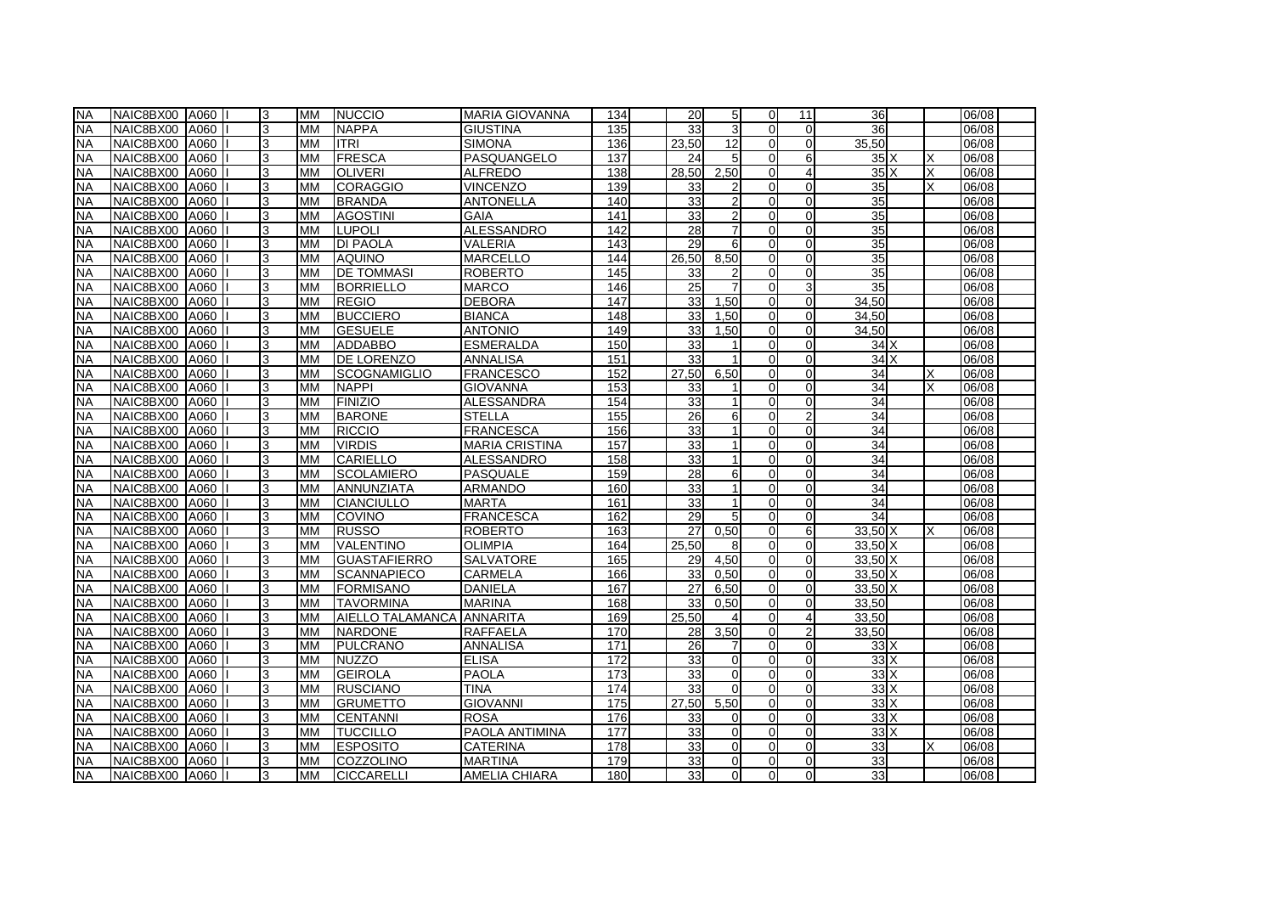| <b>NA</b> | NAIC8BX00 A060 |             | 3 | <b>MM</b> | NUCCIO              | <b>MARIA GIOVANNA</b> | 134              | 20 <sup>1</sup> | 5 <sub>l</sub> | $\Omega$       | 11              | 36                               |   | 06/08 |
|-----------|----------------|-------------|---|-----------|---------------------|-----------------------|------------------|-----------------|----------------|----------------|-----------------|----------------------------------|---|-------|
| <b>NA</b> | NAIC8BX00 A060 |             | 3 | <b>MM</b> | <b>NAPPA</b>        | <b>GIUSTINA</b>       | 135              | 33 <sup>1</sup> | $\overline{3}$ | $\Omega$       | $\overline{0}$  | 36                               |   | 06/08 |
| <b>NA</b> | NAIC8BX00 A060 |             | 3 | <b>MM</b> | litri               | <b>SIMONA</b>         | 136              | 23.50           | 12             | $\Omega$       | $\Omega$        | 35,50                            |   | 06/08 |
| <b>NA</b> | NAIC8BX00 A060 |             | 3 | <b>MM</b> | <b>FRESCA</b>       | PASQUANGELO           | 137              | 24              | 5 <sup>1</sup> | $\Omega$       | 6               | 35X                              |   | 06/08 |
| <b>NA</b> | NAIC8BX00 A060 |             | 3 | <b>MM</b> | <b>OLIVERI</b>      | <b>ALFREDO</b>        | 138              | 28,50           | 2,50           | $\overline{0}$ | 4               | 35X                              |   | 06/08 |
| <b>NA</b> | NAIC8BX00 A060 |             | 3 | <b>MM</b> | CORAGGIO            | <b>VINCENZO</b>       | 139              | 33              | $\overline{2}$ | $\Omega$       | $\Omega$        | 35                               |   | 06/08 |
| <b>NA</b> | NAIC8BX00 A060 |             | 3 | <b>MM</b> | <b>BRANDA</b>       | <b>ANTONELLA</b>      | 140              | 33              | $\overline{2}$ | $\overline{0}$ | $\overline{0}$  | 35                               |   | 06/08 |
| <b>NA</b> | NAIC8BX00 A060 |             | 3 | <b>MM</b> | <b>AGOSTINI</b>     | GAIA                  | 141              | 33              | $\mathcal{P}$  | $\Omega$       | $\Omega$        | 35                               |   | 06/08 |
| <b>NA</b> | NAIC8BX00 A060 |             | 3 | <b>MM</b> | <b>LUPOLI</b>       | <b>ALESSANDRO</b>     | 142              | 28              |                | $\Omega$       | $\overline{0}$  | 35                               |   | 06/08 |
| <b>NA</b> | NAIC8BX00 A060 |             | 3 | <b>MM</b> | <b>DI PAOLA</b>     | VALERIA               | 143              | 29              | 6              | $\Omega$       | $\Omega$        | 35                               |   | 06/08 |
| <b>NA</b> | NAIC8BX00 A060 |             | 3 | <b>MM</b> | AQUINO              | <b>MARCELLO</b>       | 144              | 26,50           | 8.50           | $\Omega$       | $\Omega$        | 35                               |   | 06/08 |
| <b>NA</b> | NAIC8BX00 A060 |             | 3 | <b>MM</b> | <b>DE TOMMASI</b>   | <b>ROBERTO</b>        | 145              | 33              | $\overline{2}$ | $\Omega$       | $\overline{0}$  | 35                               |   | 06/08 |
| <b>NA</b> | NAIC8BX00 A060 |             | 3 | <b>MM</b> | <b>BORRIELLO</b>    | <b>MARCO</b>          | 146              | $\overline{25}$ |                | $\Omega$       | 3               | 35                               |   | 06/08 |
| <b>NA</b> | NAIC8BX00      | A060        | 3 | <b>MM</b> | <b>REGIO</b>        | <b>DEBORA</b>         | 147              | 33              | 1.50           | $\Omega$       | $\Omega$        | 34,50                            |   | 06/08 |
| <b>NA</b> | NAIC8BX00      | A060        | 3 | <b>MM</b> | <b>BUCCIERO</b>     | <b>BIANCA</b>         | 148              | 33              | 1,50           | $\overline{0}$ | 0               | 34,50                            |   | 06/08 |
| <b>NA</b> | NAIC8BX00 A060 |             | 3 | <b>MM</b> | <b>GESUELE</b>      | <b>ANTONIO</b>        | 149              | 33              | 1,50           | $\Omega$       | $\Omega$        | 34,50                            |   | 06/08 |
| <b>NA</b> | NAIC8BX00      | A060        | 3 | <b>MM</b> | <b>ADDABBO</b>      | <b>ESMERALDA</b>      | 150              | 33              |                | $\Omega$       | $\Omega$        | 34X                              |   | 06/08 |
| <b>NA</b> | NAIC8BX00 A060 |             | 3 | <b>MM</b> | <b>DE LORENZO</b>   | <b>ANNALISA</b>       | 151              | 33              |                | $\Omega$       | $\Omega$        | 34X                              |   | 06/08 |
| <b>NA</b> | NAIC8BX00 A060 |             | 3 | <b>MM</b> | <b>SCOGNAMIGLIO</b> | <b>FRANCESCO</b>      | 152              | 27,50           | 6.50           | $\Omega$       | $\Omega$        | 34                               |   | 06/08 |
| <b>NA</b> | NAIC8BX00 A060 |             | 3 | <b>MM</b> | <b>NAPPI</b>        | <b>GIOVANNA</b>       | 153              | 33              |                | $\Omega$       | $\Omega$        | 34                               |   | 06/08 |
| <b>NA</b> | NAIC8BX00 A060 |             | 3 | <b>MM</b> | <b>FINIZIO</b>      | <b>ALESSANDRA</b>     | 154              | 33              | $\mathbf{1}$   | $\Omega$       | $\overline{0}$  | 34                               |   | 06/08 |
| <b>NA</b> | NAIC8BX00 A060 |             | 3 | <b>MM</b> | <b>BARONE</b>       | <b>STELLA</b>         | 155              | 26              | 6              | $\Omega$       | $\overline{2}$  | 34                               |   | 06/08 |
| <b>NA</b> | NAIC8BX00 A060 |             | 3 | <b>MM</b> | <b>RICCIO</b>       | <b>FRANCESCA</b>      | 156              | 33              |                | $\Omega$       | $\overline{0}$  | $\overline{34}$                  |   | 06/08 |
| <b>NA</b> | NAIC8BX00 A060 |             | 3 | <b>MM</b> | <b>VIRDIS</b>       | <b>MARIA CRISTINA</b> | 157              | 33              |                | $\Omega$       | $\overline{0}$  | 34                               |   | 06/08 |
| <b>NA</b> | NAIC8BX00 A060 |             | 3 | <b>MM</b> | <b>CARIELLO</b>     | ALESSANDRO            | 158              | 33              |                | $\Omega$       | $\overline{0}$  | 34                               |   | 06/08 |
| <b>NA</b> | NAIC8BX00 A060 |             | 3 | <b>MM</b> | <b>SCOLAMIERO</b>   | <b>PASQUALE</b>       | 159              | 28              | $6 \mid$       | $\Omega$       | $\Omega$        | 34                               |   | 06/08 |
| <b>NA</b> | NAIC8BX00 A060 |             | 3 | <b>MM</b> | ANNUNZIATA          | ARMANDO               | 160              | 33              | $\mathbf{1}$   | $\overline{0}$ | $\overline{0}$  | 34                               |   | 06/08 |
| <b>NA</b> | NAIC8BX00 A060 |             | 3 | <b>MM</b> | <b>CIANCIULLO</b>   | <b>MARTA</b>          | 161              | 33              | $\mathbf{1}$   | $\Omega$       | $\overline{0}$  | 34                               |   | 06/08 |
| <b>NA</b> | NAIC8BX00 A060 |             | 3 | <b>MM</b> | <b>COVINO</b>       | <b>FRANCESCA</b>      | 162              | 29              | 5 <sup>1</sup> | $\Omega$       | $\Omega$        | 34                               |   | 06/08 |
| <b>NA</b> | NAIC8BX00 A060 |             | 3 | <b>MM</b> | RUSSO               | <b>ROBERTO</b>        | 163              | $\overline{27}$ | 0.50           | $\overline{0}$ | $6 \overline{}$ | $33,50$ X                        | x | 06/08 |
| <b>NA</b> | NAIC8BX00      | A060        | 3 | <b>MM</b> | <b>VALENTINO</b>    | <b>OLIMPIA</b>        | 164              | 25.50           | $\mathsf{B}$   | $\Omega$       | $\overline{0}$  | $33.50\text{ X}$                 |   | 06/08 |
| <b>NA</b> | NAIC8BX00      | <b>A060</b> | 3 | <b>MM</b> | <b>GUASTAFIERRO</b> | SALVATORE             | 165              | 29              | 4.50           | $\Omega$       | $\Omega$        | 33,50 X                          |   | 06/08 |
| <b>NA</b> | NAIC8BX00 A060 |             | 3 | <b>MM</b> | SCANNAPIECO         | <b>CARMELA</b>        | 166              | 33 <sup>1</sup> | 0.50           | $\Omega$       | $\Omega$        | $33,50$ X                        |   | 06/08 |
| <b>NA</b> | NAIC8BX00      | A060        | 3 | <b>MM</b> | FORMISANO           | <b>DANIELA</b>        | 167              | 27              | 6,50           | $\overline{0}$ | $\Omega$        | 33,50 X                          |   | 06/08 |
| <b>NA</b> | NAIC8BX00 A060 |             | 3 | <b>MM</b> | <b>TAVORMINA</b>    | <b>MARINA</b>         | 168              | 33              | 0.50           | $\overline{0}$ | 0               | 33,50                            |   | 06/08 |
| <b>NA</b> | NAIC8BX00 A060 |             | 3 | <b>MM</b> | AIELLO TALAMANCA    | <b>ANNARITA</b>       | 169              | 25,50           | $\overline{4}$ | $\overline{0}$ | 4               | 33,50                            |   | 06/08 |
| <b>NA</b> | NAIC8BX00 A060 |             | 3 | <b>MM</b> | NARDONE             | <b>RAFFAELA</b>       | 170              | 28              | 3,50           | $\mathbf{0}$   | 2               | 33,50                            |   | 06/08 |
| <b>NA</b> | NAIC8BX00 A060 |             | 3 | <b>MM</b> | PULCRANO            | ANNALISA              | 171              | 26              | $\overline{7}$ | $\Omega$       | $\Omega$        | $33\text{K}$                     |   | 06/08 |
| <b>NA</b> | NAIC8BX00 A060 |             | 3 | <b>MM</b> | <b>NUZZO</b>        | <b>ELISA</b>          | 172              | 33              | $\Omega$       | $\Omega$       | $\Omega$        | 33X                              |   | 06/08 |
| <b>NA</b> | NAIC8BX00 A060 |             | 3 | <b>MM</b> | <b>GEIROLA</b>      | <b>PAOLA</b>          | $\overline{173}$ | 33              | $\Omega$       | $\Omega$       | $\Omega$        | 33X                              |   | 06/08 |
| <b>NA</b> | NAIC8BX00 A060 |             | 3 | <b>MM</b> | <b>RUSCIANO</b>     | <b>TINA</b>           | 174              | 33              | $\Omega$       | $\Omega$       | $\Omega$        | $33\overline{\phantom{a}}\times$ |   | 06/08 |
| <b>NA</b> | NAIC8BX00 A060 |             | 3 | <b>MM</b> | <b>GRUMETTO</b>     | <b>GIOVANNI</b>       | 175              | 27,50           | 5.50           | $\Omega$       | $\Omega$        | 33X                              |   | 06/08 |
| <b>NA</b> | NAIC8BX00 A060 |             | 3 | <b>MM</b> | <b>CENTANNI</b>     | <b>ROSA</b>           | 176              | 33              | $\Omega$       | $\Omega$       | $\Omega$        | 33X                              |   | 06/08 |
| <b>NA</b> | NAIC8BX00 A060 |             | 3 | <b>MM</b> | <b>TUCCILLO</b>     | PAOLA ANTIMINA        | 177              | 33              | $\Omega$       | $\overline{0}$ | $\overline{0}$  | 33X                              |   | 06/08 |
| <b>NA</b> | NAIC8BX00 A060 |             | 3 | <b>MM</b> | <b>ESPOSITO</b>     | <b>CATERINA</b>       | 178              | 33              | $\Omega$       | $\Omega$       | $\Omega$        | 33                               |   | 06/08 |
| <b>NA</b> | NAIC8BX00 A060 |             | 3 | <b>MM</b> | <b>ICOZZOLINO</b>   | <b>MARTINA</b>        | 179              | 33              | $\Omega$       | $\overline{0}$ | $\Omega$        | 33                               |   | 06/08 |
| <b>NA</b> | NAIC8BX00 A060 |             | 3 | <b>MM</b> | <b>CICCARELLI</b>   | <b>AMELIA CHIARA</b>  | 180              | 33 <sub>l</sub> | $\overline{0}$ | 0I             | $\overline{0}$  | 33                               |   | 06/08 |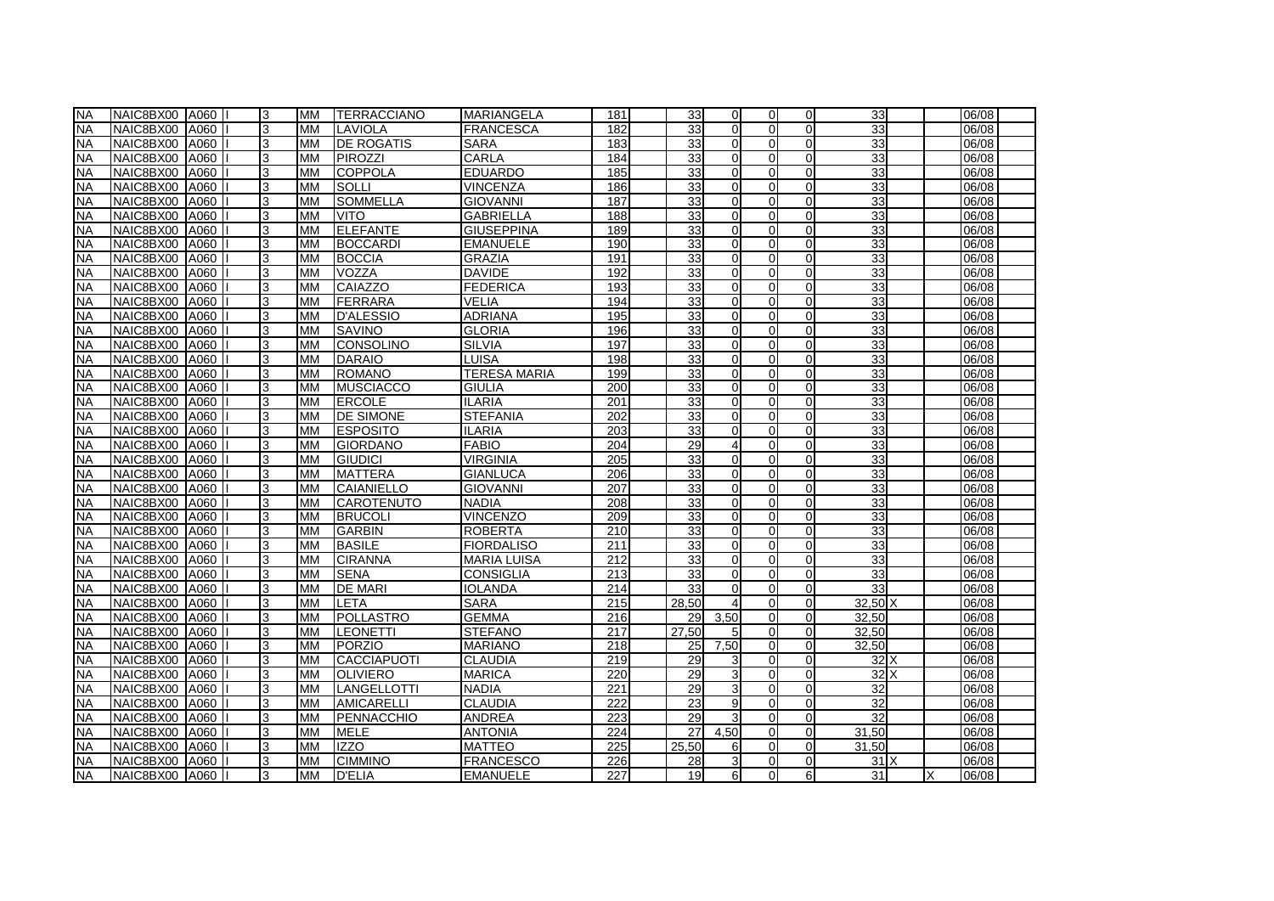| <b>NA</b> | NAIC8BX00 A060 |             | 3 | <b>MM</b> | <b>ITERRACCIANO</b> | <b>MARIANGELA</b>   | 181              | 33              | $\Omega$       | $\Omega$       | $\Omega$       | 33               | 06/08 |
|-----------|----------------|-------------|---|-----------|---------------------|---------------------|------------------|-----------------|----------------|----------------|----------------|------------------|-------|
| <b>NA</b> | NAIC8BX00 A060 |             | 3 | <b>MM</b> | LAVIOLA             | <b>FRANCESCA</b>    | 182              | 33              | $\Omega$       | $\Omega$       | $\overline{0}$ | $\overline{33}$  | 06/08 |
| <b>NA</b> | NAIC8BX00 A060 |             | 3 | <b>MM</b> | <b>DE ROGATIS</b>   | <b>SARA</b>         | 183              | 33              | $\Omega$       | $\Omega$       | $\Omega$       | 33               | 06/08 |
| <b>NA</b> | NAIC8BX00 A060 |             | 3 | <b>MM</b> | <b>PIROZZI</b>      | <b>CARLA</b>        | 184              | 33              | $\Omega$       | $\Omega$       | $\Omega$       | 33               | 06/08 |
| <b>NA</b> | NAIC8BX00 A060 |             | 3 | <b>MM</b> | <b>COPPOLA</b>      | <b>EDUARDO</b>      | 185              | 33              | $\Omega$       | $\mathbf{0}$   | $\overline{0}$ | 33               | 06/08 |
| <b>NA</b> | NAIC8BX00 A060 |             | 3 | <b>MM</b> | <b>SOLLI</b>        | <b>VINCENZA</b>     | 186              | 33              | $\Omega$       | $\Omega$       | $\Omega$       | 33               | 06/08 |
| NA        | NAIC8BX00 A060 |             | 3 | <b>MM</b> | <b>SOMMELLA</b>     | <b>GIOVANNI</b>     | 187              | 33              | $\Omega$       | $\overline{0}$ | $\overline{0}$ | 33               | 06/08 |
| <b>NA</b> | NAIC8BX00 A060 |             | 3 | <b>MM</b> | <b>VITO</b>         | <b>GABRIELLA</b>    | 188              | 33              | $\Omega$       | $\Omega$       | $\Omega$       | 33               | 06/08 |
| <b>NA</b> | NAIC8BX00 A060 |             | 3 | <b>MM</b> | <b>ELEFANTE</b>     | <b>GIUSEPPINA</b>   | 189              | 33              | $\Omega$       | $\Omega$       | $\Omega$       | 33               | 06/08 |
| <b>NA</b> | NAIC8BX00 A060 |             | 3 | <b>MM</b> | <b>BOCCARDI</b>     | <b>EMANUELE</b>     | 190              | 33              | $\Omega$       | $\Omega$       | $\Omega$       | 33               | 06/08 |
| <b>NA</b> | NAIC8BX00 A060 |             | 3 | <b>MM</b> | <b>BOCCIA</b>       | <b>GRAZIA</b>       | 191              | 33              | $\Omega$       | $\Omega$       | $\overline{0}$ | 33               | 06/08 |
| <b>NA</b> | NAIC8BX00 A060 |             | 3 | <b>MM</b> | VOZZA               | <b>DAVIDE</b>       | 192              | 33              | $\Omega$       | $\overline{O}$ | $\Omega$       | 33               | 06/08 |
| <b>NA</b> | NAIC8BX00 A060 |             | 3 | <b>MM</b> | CAIAZZO             | <b>FEDERICA</b>     | 193              | 33              | $\Omega$       | $\overline{0}$ | $\overline{0}$ | 33               | 06/08 |
| <b>NA</b> | NAIC8BX00      | A060        | 3 | <b>MM</b> | FERRARA             | VELIA               | 194              | 33              | $\Omega$       | $\Omega$       | $\Omega$       | 33               | 06/08 |
| <b>NA</b> | NAIC8BX00 A060 |             | 3 | <b>MM</b> | <b>D'ALESSIO</b>    | <b>ADRIANA</b>      | 195              | 33              | $\overline{0}$ | $\mathbf{0}$   | $\overline{0}$ | 33               | 06/08 |
| <b>NA</b> | NAIC8BX00 A060 |             | 3 | <b>MM</b> | <b>ISAVINO</b>      | <b>GLORIA</b>       | 196              | 33              | $\Omega$       | $\Omega$       | $\Omega$       | $\overline{33}$  | 06/08 |
| <b>NA</b> | NAIC8BX00 A060 |             | 3 | <b>MM</b> | <b>I</b> CONSOLINO  | <b>SILVIA</b>       | 197              | 33              | $\Omega$       | $\Omega$       | $\Omega$       | 33               | 06/08 |
| <b>NA</b> | NAIC8BX00 A060 |             | 3 | <b>MM</b> | DARAIO              | <b>LUISA</b>        | 198              | 33              | $\Omega$       | $\Omega$       | $\overline{0}$ | 33               | 06/08 |
| <b>NA</b> | NAIC8BX00 A060 |             | 3 | <b>MM</b> | <b>ROMANO</b>       | <b>TERESA MARIA</b> | 199              | 33              | $\Omega$       | $\overline{0}$ | $\Omega$       | 33               | 06/08 |
| <b>NA</b> | NAIC8BX00      | <b>A060</b> | 3 | <b>MM</b> | <b>MUSCIACCO</b>    | <b>GIULIA</b>       | 200              | 33              | $\Omega$       | $\Omega$       | $\overline{0}$ | 33               | 06/08 |
| <b>NA</b> | NAIC8BX00 A060 |             | 3 | <b>MM</b> | <b>ERCOLE</b>       | <b>ILARIA</b>       | 201              | 33              | $\Omega$       | $\Omega$       | $\overline{0}$ | 33               | 06/08 |
| <b>NA</b> | NAIC8BX00 A060 |             | 3 | <b>MM</b> | <b>DE SIMONE</b>    | <b>STEFANIA</b>     | 202              | 33              | $\Omega$       | $\overline{0}$ | $\Omega$       | 33               | 06/08 |
| <b>NA</b> | NAIC8BX00 A060 |             | 3 | <b>MM</b> | <b>ESPOSITO</b>     | <b>ILARIA</b>       | 203              | 33              | $\Omega$       | $\Omega$       | $\Omega$       | 33               | 06/08 |
| <b>NA</b> | NAIC8BX00 A060 |             | 3 | <b>MM</b> | <b>GIORDANO</b>     | <b>FABIO</b>        | 204              | 29              |                | $\Omega$       | $\Omega$       | 33               | 06/08 |
| <b>NA</b> | NAIC8BX00 A060 |             | 3 | <b>MM</b> | <b>GIUDICI</b>      | <b>VIRGINIA</b>     | 205              | 33              | $\Omega$       | $\Omega$       | $\overline{0}$ | 33               | 06/08 |
| <b>NA</b> | NAIC8BX00 A060 |             | 3 | <b>MM</b> | <b>MATTERA</b>      | <b>GIANLUCA</b>     | 206              | 33              | $\Omega$       | $\Omega$       | $\overline{0}$ | 33               | 06/08 |
| <b>NA</b> | NAIC8BX00 A060 |             | 3 | <b>MM</b> | <b>CAIANIELLO</b>   | <b>GIOVANNI</b>     | 207              | 33              | $\Omega$       | $\Omega$       | $\overline{0}$ | 33               | 06/08 |
| <b>NA</b> | NAIC8BX00 A060 |             | 3 | <b>MM</b> | <b>ICAROTENUTO</b>  | <b>NADIA</b>        | 208              | 33              | $\Omega$       | $\Omega$       | $\overline{0}$ | 33               | 06/08 |
| <b>NA</b> | NAIC8BX00 A060 |             | 3 | <b>MM</b> | <b>BRUCOLI</b>      | <b>VINCENZO</b>     | 209              | 33              | $\overline{0}$ | οI             | 0              | 33               | 06/08 |
| <b>NA</b> | NAIC8BX00 A060 |             | 3 | <b>MM</b> | <b>GARBIN</b>       | <b>ROBERTA</b>      | 210              | 33              | $\Omega$       | $\mathbf{0}$   | $\overline{0}$ | 33               | 06/08 |
| <b>NA</b> | NAIC8BX00      | A060        | 3 | <b>MM</b> | <b>BASILE</b>       | <b>FIORDALISO</b>   | 211              | 33              | $\Omega$       | $\Omega$       | $\Omega$       | 33               | 06/08 |
| <b>NA</b> | NAIC8BX00 A060 |             | 3 | MM        | <b>CIRANNA</b>      | <b>MARIA LUISA</b>  | 212              | 33 <sup>1</sup> | $\Omega$       | $\Omega$       | $\Omega$       | 33               | 06/08 |
| <b>NA</b> | NAIC8BX00 A060 |             | 3 | <b>MM</b> | <b>SENA</b>         | <b>CONSIGLIA</b>    | $\overline{213}$ | 33              | $\Omega$       | $\Omega$       | $\overline{0}$ | $\overline{33}$  | 06/08 |
| <b>NA</b> | NAIC8BX00 A060 |             | 3 | <b>MM</b> | <b>DE MARI</b>      | <b>IOLANDA</b>      | 214              | 33              | $\Omega$       | $\Omega$       | $\overline{0}$ | 33               | 06/08 |
| <b>NA</b> | NAIC8BX00 A060 |             | 3 | <b>MM</b> | LETA                | <b>SARA</b>         | 215              | 28.50           |                | $\Omega$       | $\Omega$       | $32.50\text{ X}$ | 06/08 |
| <b>NA</b> | NAIC8BX00 A060 |             | 3 | <b>MM</b> | <b>POLLASTRO</b>    | <b>GEMMA</b>        | $\overline{216}$ | 29              | 3.50           | $\overline{0}$ | $\Omega$       | 32.50            | 06/08 |
| <b>NA</b> | NAIC8BX00 A060 |             | 3 | <b>MM</b> | LEONETTI            | <b>STEFANO</b>      | 217              | 27,50           | 5              | $\mathbf{0}$   | $\Omega$       | 32,50            | 06/08 |
| <b>NA</b> | NAIC8BX00 A060 |             | 3 | <b>MM</b> | PORZIO              | <b>MARIANO</b>      | 218              | 25              | 7,50           | $\Omega$       | $\Omega$       | 32,50            | 06/08 |
| <b>NA</b> | NAIC8BX00 A060 |             | 3 | <b>MM</b> | CACCIAPUOTI         | <b>CLAUDIA</b>      | 219              | 29              | 3              | $\mathbf{0}$   | 0              | 32 X             | 06/08 |
| <b>NA</b> | NAIC8BX00 A060 |             | 3 | <b>MM</b> | <b>OLIVIERO</b>     | <b>MARICA</b>       | 220              | 29              | $\overline{3}$ | $\Omega$       | $\Omega$       | 32X              | 06/08 |
| <b>NA</b> | NAIC8BX00 A060 |             | 3 | <b>MM</b> | LANGELLOTTI         | <b>NADIA</b>        | 221              | 29              | $\overline{3}$ | $\Omega$       | $\overline{0}$ | 32               | 06/08 |
| <b>NA</b> | NAIC8BX00      | A060        | 3 | <b>MM</b> | AMICARELLI          | <b>CLAUDIA</b>      | 222              | 23              | $\overline{9}$ | $\Omega$       | $\Omega$       | 32               | 06/08 |
| <b>NA</b> | NAIC8BX00 A060 |             | 3 | <b>MM</b> | PENNACCHIO          | <b>ANDREA</b>       | 223              | 29              | $\overline{3}$ | $\Omega$       | $\overline{0}$ | 32               | 06/08 |
| <b>NA</b> | NAIC8BX00      | A060        | 3 | <b>MM</b> | <b>MELE</b>         | <b>ANTONIA</b>      | 224              | 27              | 4,50           | $\mathbf{0}$   | $\Omega$       | 31,50            | 06/08 |
| <b>NA</b> | NAIC8BX00      | A060        | 3 | <b>MM</b> | <b>IZZO</b>         | <b>MATTEO</b>       | 225              | 25,50           | 6              | $\Omega$       | $\Omega$       | 31,50            | 06/08 |
| <b>NA</b> | NAIC8BX00 A060 |             | 3 | <b>MM</b> | <b>CIMMINO</b>      | <b>FRANCESCO</b>    | 226              | 28              | $\overline{3}$ | 0I             | $\Omega$       | 31X              | 06/08 |
| <b>NA</b> | NAIC8BX00 A060 |             | 3 | <b>MM</b> | <b>D'ELIA</b>       | <b>EMANUELE</b>     | 227              | 19              | $6 \mid$       | $\Omega$       | $6 \mid$       | 31               | 06/08 |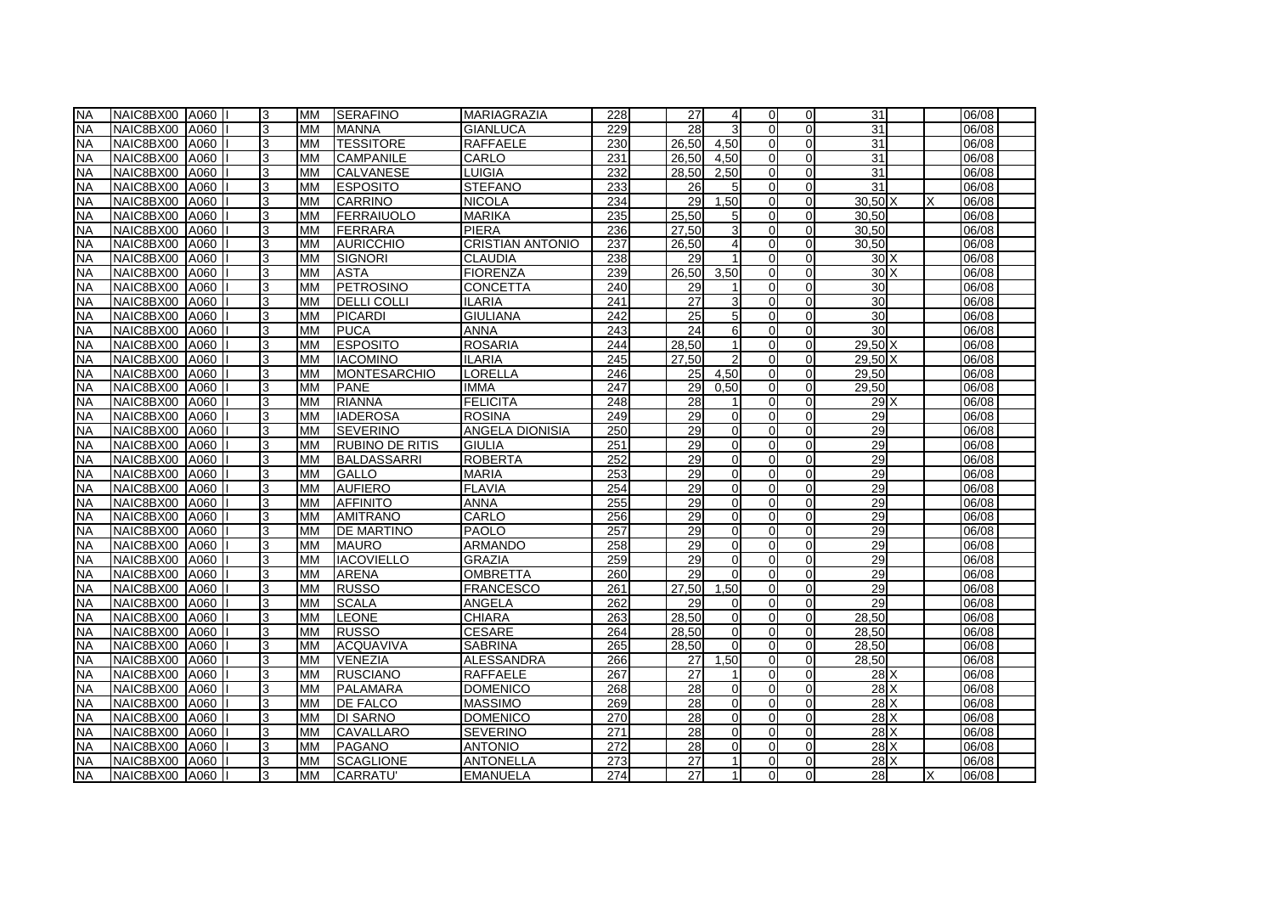| <b>NA</b> | NAIC8BX00 A060 |      | 3 | <b>MM</b> | <b>SERAFINO</b>        | <b>MARIAGRAZIA</b>      | 228 | 27    | $\overline{4}$ | $\Omega$       | $\Omega$       | 31              |   | 06/08 |
|-----------|----------------|------|---|-----------|------------------------|-------------------------|-----|-------|----------------|----------------|----------------|-----------------|---|-------|
| <b>NA</b> | NAIC8BX00 A060 |      | 3 | <b>MM</b> | <b>IMANNA</b>          | <b>GIANLUCA</b>         | 229 | 28    | $\mathbf{3}$   | $\Omega$       | $\overline{0}$ | $\overline{31}$ |   | 06/08 |
| <b>NA</b> | NAIC8BX00      | A060 | 3 | <b>MM</b> | <b>TESSITORE</b>       | <b>RAFFAELE</b>         | 230 | 26.50 | 4.50           | $\Omega$       | $\Omega$       | 31              |   | 06/08 |
| <b>NA</b> | NAIC8BX00 A060 |      | 3 | <b>MM</b> | <b>CAMPANILE</b>       | CARLO                   | 231 | 26.50 | 4.50           | $\Omega$       | $\Omega$       | 31              |   | 06/08 |
| <b>NA</b> | NAIC8BX00 A060 |      | 3 | <b>MM</b> | <b>CALVANESE</b>       | LUIGIA                  | 232 | 28,50 | 2,50           | $\mathbf{0}$   | $\Omega$       | 31              |   | 06/08 |
| <b>NA</b> | NAIC8BX00 A060 |      | 3 | <b>MM</b> | <b>ESPOSITO</b>        | <b>STEFANO</b>          | 233 | 26    | 5              | $\Omega$       | $\Omega$       | $\overline{31}$ |   | 06/08 |
| NA        | NAIC8BX00 A060 |      | 3 | <b>MM</b> | CARRINO                | <b>NICOLA</b>           | 234 | 29    | 1,50           | $\mathbf{0}$   | $\Omega$       | 30.50 X         | Χ | 06/08 |
| <b>NA</b> | NAIC8BX00 A060 |      | 3 | <b>MM</b> | <b>FERRAIUOLO</b>      | <b>MARIKA</b>           | 235 | 25.50 | $5 \mid$       | $\Omega$       | $\Omega$       | 30,50           |   | 06/08 |
| <b>NA</b> | NAIC8BX00      | A060 | 3 | <b>MM</b> | FERRARA                | PIERA                   | 236 | 27.50 | $\overline{3}$ | $\Omega$       | $\Omega$       | 30.50           |   | 06/08 |
| <b>NA</b> | NAIC8BX00 A060 |      | 3 | <b>MM</b> | <b>AURICCHIO</b>       | <b>CRISTIAN ANTONIO</b> | 237 | 26,50 | $\overline{4}$ | $\Omega$       | $\Omega$       | 30.50           |   | 06/08 |
| <b>NA</b> | NAIC8BX00 A060 |      | 3 | <b>MM</b> | <b>SIGNORI</b>         | <b>CLAUDIA</b>          | 238 | 29    |                | $\Omega$       | $\Omega$       | 30X             |   | 06/08 |
| <b>NA</b> | NAIC8BX00 A060 |      | 3 | <b>MM</b> | <b>ASTA</b>            | <b>FIORENZA</b>         | 239 | 26,50 | 3,50           | $\overline{O}$ | $\Omega$       | 30X             |   | 06/08 |
| <b>NA</b> | NAIC8BX00 A060 |      | 3 | <b>MM</b> | <b>PETROSINO</b>       | <b>CONCETTA</b>         | 240 | 29    |                | $\mathbf{0}$   | $\Omega$       | 30              |   | 06/08 |
| <b>NA</b> | NAIC8BX00      | A060 | 3 | <b>MM</b> | <b>DELLI COLLI</b>     | <b>ILARIA</b>           | 241 | 27    | $\overline{3}$ | $\Omega$       | $\Omega$       | 30              |   | 06/08 |
| <b>NA</b> | NAIC8BX00 A060 |      | 3 | <b>MM</b> | PICARDI                | <b>GIULIANA</b>         | 242 | 25    | 5 <sub>l</sub> | $\overline{0}$ | 0              | 30              |   | 06/08 |
| <b>NA</b> | NAIC8BX00 A060 |      | 3 | <b>MM</b> | <b>PUCA</b>            | <b>ANNA</b>             | 243 | 24    | 6              | $\Omega$       | $\Omega$       | 30              |   | 06/08 |
| <b>NA</b> | NAIC8BX00 A060 |      | 3 | <b>MM</b> | <b>ESPOSITO</b>        | <b>ROSARIA</b>          | 244 | 28.50 |                | $\Omega$       | $\overline{0}$ | 29.50 X         |   | 06/08 |
| <b>NA</b> | NAIC8BX00 A060 |      | 3 | <b>MM</b> | <b>IACOMINO</b>        | <b>ILARIA</b>           | 245 | 27.50 |                | $\Omega$       | $\Omega$       | 29.50 X         |   | 06/08 |
| <b>NA</b> | NAIC8BX00 A060 |      | 3 | <b>MM</b> | <b>MONTESARCHIO</b>    | LORELLA                 | 246 | 25    | 4.50           | $\overline{0}$ | $\Omega$       | 29.50           |   | 06/08 |
| <b>NA</b> | NAIC8BX00      | A060 | 3 | <b>MM</b> | <b>PANE</b>            | <b>IMMA</b>             | 247 | 29    | 0.50           | $\Omega$       | $\Omega$       | 29,50           |   | 06/08 |
| <b>NA</b> | NAIC8BX00      | A060 | 3 | <b>MM</b> | RIANNA                 | <b>FELICITA</b>         | 248 | 28    | $\mathbf{1}$   | ΩI             | $\Omega$       | $29$ $X$        |   | 06/08 |
| <b>NA</b> | NAIC8BX00 A060 |      | 3 | <b>MM</b> | <b>IADEROSA</b>        | <b>ROSINA</b>           | 249 | 29    | $\Omega$       | $\overline{0}$ | $\Omega$       | 29              |   | 06/08 |
| <b>NA</b> | NAIC8BX00 A060 |      | 3 | <b>MM</b> | <b>SEVERINO</b>        | ANGELA DIONISIA         | 250 | 29    | $\Omega$       | $\Omega$       | $\Omega$       | 29              |   | 06/08 |
| <b>NA</b> | NAIC8BX00 A060 |      | 3 | <b>MM</b> | <b>RUBINO DE RITIS</b> | <b>GIULIA</b>           | 251 | 29    | $\Omega$       | $\Omega$       | $\Omega$       | 29              |   | 06/08 |
| <b>NA</b> | NAIC8BX00      | A060 | 3 | <b>MM</b> | BALDASSARRI            | <b>ROBERTA</b>          | 252 | 29    | $\Omega$       | $\Omega$       | $\Omega$       | 29              |   | 06/08 |
| <b>NA</b> | NAIC8BX00      | A060 | 3 | <b>MM</b> | <b>GALLO</b>           | <b>MARIA</b>            | 253 | 29    | $\Omega$       | $\Omega$       | $\overline{0}$ | 29              |   | 06/08 |
| <b>NA</b> | NAIC8BX00 A060 |      | 3 | <b>MM</b> | <b>AUFIERO</b>         | <b>FLAVIA</b>           | 254 | 29    | $\Omega$       | $\Omega$       | $\overline{0}$ | 29              |   | 06/08 |
| <b>NA</b> | NAIC8BX00 A060 |      | 3 | <b>MM</b> | <b>AFFINITO</b>        | <b>ANNA</b>             | 255 | 29    | $\Omega$       | $\Omega$       | $\overline{0}$ | 29              |   | 06/08 |
| <b>NA</b> | NAIC8BX00 A060 |      | 3 | <b>MM</b> | <b>AMITRANO</b>        | CARLO                   | 256 | 29    | $\Omega$       | $\overline{O}$ | 0              | 29              |   | 06/08 |
| <b>NA</b> | NAIC8BX00 A060 |      | 3 | <b>MM</b> | <b>DE MARTINO</b>      | <b>PAOLO</b>            | 257 | 29    | $\Omega$       | $\mathbf{0}$   | $\Omega$       | 29              |   | 06/08 |
| <b>NA</b> | NAIC8BX00      | A060 | 3 | <b>MM</b> | <b>MAURO</b>           | <b>ARMANDO</b>          | 258 | 29    | $\Omega$       | $\Omega$       | $\Omega$       | 29              |   | 06/08 |
| <b>NA</b> | NAIC8BX00 A060 |      | 3 | MM        | <b>I</b> IACOVIELLO    | <b>GRAZIA</b>           | 259 | 29    | $\Omega$       | $\Omega$       | $\Omega$       | 29              |   | 06/08 |
| <b>NA</b> | NAIC8BX00 A060 |      | 3 | <b>MM</b> | <b>ARENA</b>           | <b>OMBRETTA</b>         | 260 | 29    | $\Omega$       | $\Omega$       | $\overline{0}$ | 29              |   | 06/08 |
| <b>NA</b> | NAIC8BX00      | A060 | 3 | <b>MM</b> | <b>RUSSO</b>           | <b>FRANCESCO</b>        | 261 | 27,50 | .50            | $\Omega$       | $\overline{0}$ | 29              |   | 06/08 |
| <b>NA</b> | NAIC8BX00 A060 |      | 3 | <b>MM</b> | <b>SCALA</b>           | ANGELA                  | 262 | 29    | $\Omega$       | $\Omega$       | $\overline{0}$ | 29              |   | 06/08 |
| <b>NA</b> | NAIC8BX00 A060 |      | 3 | <b>MM</b> | <b>LEONE</b>           | <b>CHIARA</b>           | 263 | 28.50 | $\Omega$       | $\overline{0}$ | $\Omega$       | 28.50           |   | 06/08 |
| <b>NA</b> | NAIC8BX00 A060 |      | 3 | <b>MM</b> | <b>RUSSO</b>           | <b>CESARE</b>           | 264 | 28,50 | $\Omega$       | $\overline{0}$ | 0              | 28,50           |   | 06/08 |
| <b>NA</b> | NAIC8BX00 A060 |      | 3 | <b>MM</b> | ACQUAVIVA              | <b>SABRINA</b>          | 265 | 28,50 | $\Omega$       | $\Omega$       | $\Omega$       | 28,50           |   | 06/08 |
| <b>NA</b> | NAIC8BX00 A060 |      | 3 | <b>MM</b> | VENEZIA                | <b>ALESSANDRA</b>       | 266 | 27    | 1,50           | $\mathbf{0}$   | $\Omega$       | 28,50           |   | 06/08 |
| <b>NA</b> | NAIC8BX00 A060 |      | 3 | <b>MM</b> | <b>RUSCIANO</b>        | <b>RAFFAELE</b>         | 267 | 27    |                | $\Omega$       | $\Omega$       | 28X             |   | 06/08 |
| <b>NA</b> | NAIC8BX00 A060 |      | 3 | <b>MM</b> | <b>PALAMARA</b>        | <b>DOMENICO</b>         | 268 | 28    | $\Omega$       | $\Omega$       | $\overline{0}$ | 28X             |   | 06/08 |
| <b>NA</b> | NAIC8BX00      | A060 | 3 | <b>MM</b> | <b>DE FALCO</b>        | <b>MASSIMO</b>          | 269 | 28    | $\Omega$       | $\Omega$       | $\Omega$       | $28$ $X$        |   | 06/08 |
| <b>NA</b> | NAIC8BX00      | A060 | 3 | <b>MM</b> | <b>DI SARNO</b>        | <b>DOMENICO</b>         | 270 | 28    | $\Omega$       | $\Omega$       | $\overline{0}$ | 28X             |   | 06/08 |
| <b>NA</b> | NAIC8BX00      | A060 | 3 | <b>MM</b> | <b>CAVALLARO</b>       | <b>SEVERINO</b>         | 271 | 28    | $\Omega$       | $\Omega$       | $\Omega$       | 28X             |   | 06/08 |
| <b>NA</b> | NAIC8BX00      | A060 | 3 | <b>MM</b> | PAGANO                 | <b>ANTONIO</b>          | 272 | 28    | $\Omega$       | $\Omega$       | $\Omega$       | $28$ $X$        |   | 06/08 |
| <b>NA</b> | NAIC8BX00 A060 |      | 3 | <b>MM</b> | <b>SCAGLIONE</b>       | <b>ANTONELLA</b>        | 273 | 27    |                | $\overline{0}$ | $\Omega$       | 28X             |   | 06/08 |
| <b>NA</b> | NAIC8BX00 A060 |      | 3 | <b>MM</b> | <b>ICARRATU'</b>       | <b>EMANUELA</b>         | 274 | 27    |                | $\Omega$       | $\Omega$       | 28              | х | 06/08 |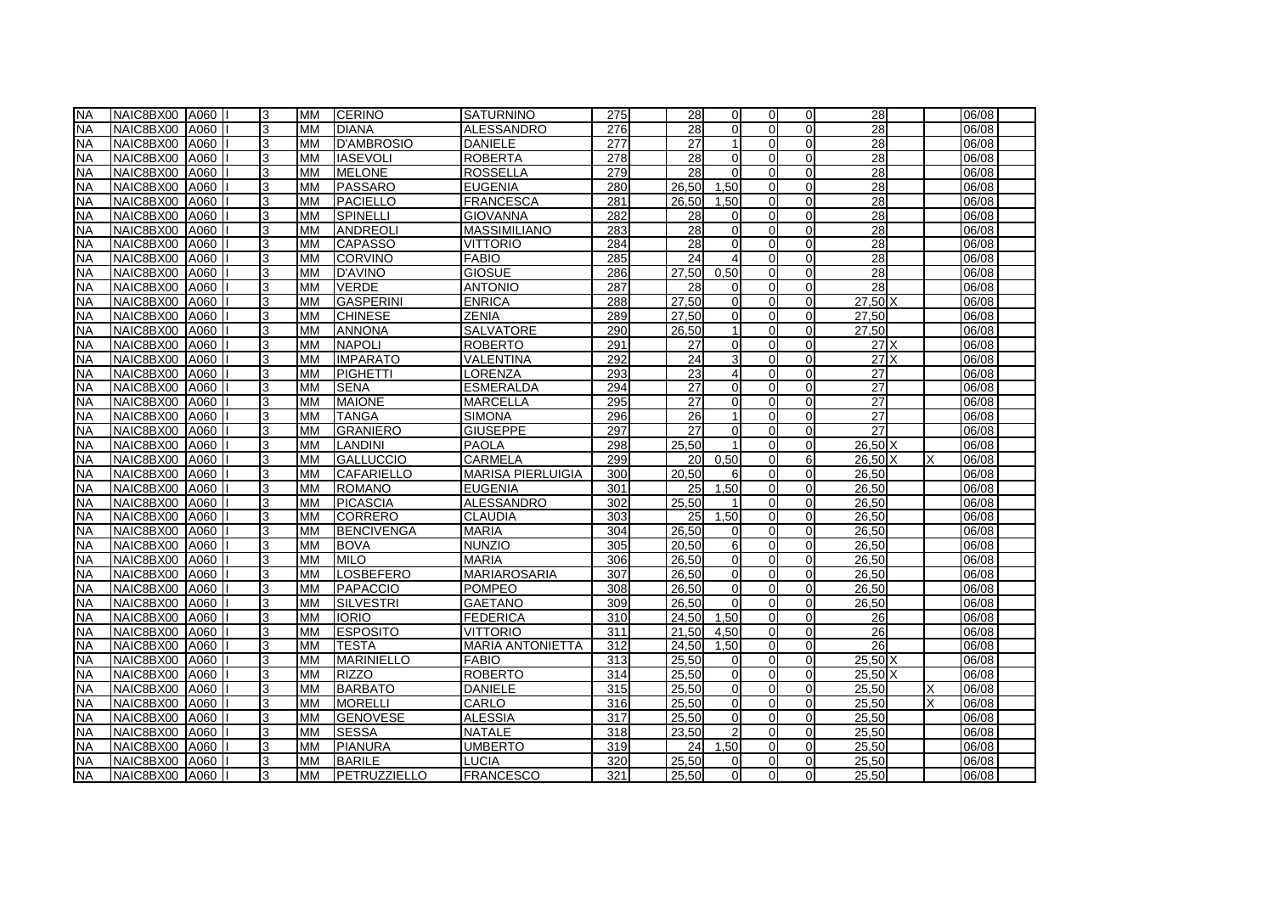| <b>NA</b> | NAIC8BX00 A060 |      | 3 | <b>MM</b> | <b>CERINO</b>     | <b>SATURNINO</b>         | 275              | 28              | $\Omega$       | $\Omega$       | $\Omega$       | 28              | 06/08 |
|-----------|----------------|------|---|-----------|-------------------|--------------------------|------------------|-----------------|----------------|----------------|----------------|-----------------|-------|
| <b>NA</b> | NAIC8BX00 A060 |      | 3 | <b>MM</b> | <b>DIANA</b>      | <b>ALESSANDRO</b>        | 276              | $\overline{28}$ | $\Omega$       | $\Omega$       | $\overline{0}$ | 28              | 06/08 |
| <b>NA</b> | NAIC8BX00      | A060 | 3 | <b>MM</b> | <b>D'AMBROSIO</b> | <b>DANIELE</b>           | 277              | 27              |                | $\Omega$       | $\Omega$       | 28              | 06/08 |
| <b>NA</b> | NAIC8BX00      | A060 | 3 | <b>MM</b> | <b>I</b> IASEVOLI | <b>ROBERTA</b>           | 278              | 28              | $\Omega$       | $\Omega$       | $\overline{0}$ | 28              | 06/08 |
| <b>NA</b> | NAIC8BX00      | A060 | 3 | <b>MM</b> | <b>IMELONE</b>    | <b>ROSSELLA</b>          | 279              | 28              | $\Omega$       | $\overline{0}$ | $\overline{0}$ | 28              | 06/08 |
| <b>NA</b> | NAIC8BX00 A060 |      | 3 | <b>MM</b> | PASSARO           | <b>EUGENIA</b>           | 280              | 26,50           | 1,50           | $\Omega$       | $\Omega$       | 28              | 06/08 |
| NA        | NAIC8BX00      | A060 | 3 | <b>MM</b> | PACIELLO          | <b>FRANCESCA</b>         | 281              | 26,50           | 1,50           | $\overline{0}$ | $\overline{0}$ | 28              | 06/08 |
| <b>NA</b> | NAIC8BX00      | A060 | 3 | <b>MM</b> | <b>SPINELLI</b>   | <b>GIOVANNA</b>          | 282              | 28              | $\Omega$       | $\Omega$       | $\Omega$       | 28              | 06/08 |
| <b>NA</b> | NAIC8BX00      | A060 | 3 | <b>MM</b> | ANDREOLI          | <b>MASSIMILIANO</b>      | 283              | $\overline{28}$ | $\Omega$       | $\Omega$       | $\Omega$       | 28              | 06/08 |
| <b>NA</b> | NAIC8BX00      | A060 | 3 | <b>MM</b> | <b>CAPASSO</b>    | <b>VITTORIO</b>          | 284              | 28              | $\Omega$       | $\Omega$       | $\Omega$       | 28              | 06/08 |
| <b>NA</b> | NAIC8BX00      | A060 | 3 | <b>MM</b> | <b>CORVINO</b>    | <b>FABIO</b>             | 285              | 24              |                | $\Omega$       | $\Omega$       | 28              | 06/08 |
| <b>NA</b> | NAIC8BX00      | A060 | 3 | <b>MM</b> | <b>D'AVINO</b>    | <b>GIOSUE</b>            | 286              | 27,50           | 0,50           | $\overline{O}$ | $\Omega$       | 28              | 06/08 |
| <b>NA</b> | NAIC8BX00      | A060 | 3 | <b>MM</b> | <b>VERDE</b>      | <b>ANTONIO</b>           | 287              | 28              | $\Omega$       | $\mathbf{0}$   | $\Omega$       | $\overline{28}$ | 06/08 |
| <b>NA</b> | NAIC8BX00      | A060 | 3 | <b>MM</b> | GASPERINI         | <b>ENRICA</b>            | 288              | 27.50           | $\Omega$       | $\Omega$       | $\Omega$       | 27,50 X         | 06/08 |
| <b>NA</b> | NAIC8BX00      | A060 | 3 | <b>MM</b> | <b>CHINESE</b>    | ZENIA                    | 289              | 27,50           | $\overline{0}$ | $\overline{0}$ | $\overline{0}$ | 27,50           | 06/08 |
| <b>NA</b> | NAIC8BX00      | A060 | 3 | <b>MM</b> | <b>ANNONA</b>     | <b>SALVATORE</b>         | 290              | 26,50           | $\mathbf{1}$   | $\Omega$       | $\Omega$       | 27,50           | 06/08 |
| <b>NA</b> | NAIC8BX00      | A060 | 3 | <b>MM</b> | <b>NAPOLI</b>     | <b>ROBERTO</b>           | 291              | 27              | $\Omega$       | $\Omega$       | $\Omega$       | $27$ $\times$   | 06/08 |
| <b>NA</b> | NAIC8BX00      | A060 | 3 | <b>MM</b> | <b>IMPARATO</b>   | VALENTINA                | 292              | 24              | $\overline{3}$ | $\Omega$       | $\overline{0}$ | 27X             | 06/08 |
| <b>NA</b> | NAIC8BX00      | A060 | 3 | <b>MM</b> | PIGHETTI          | LORENZA                  | 293              | 23              | $\overline{4}$ | $\Omega$       | $\overline{0}$ | $\overline{27}$ | 06/08 |
| <b>NA</b> | NAIC8BX00      | A060 | 3 | <b>MM</b> | <b>SENA</b>       | <b>ESMERALDA</b>         | 294              | 27              | $\Omega$       | $\Omega$       | $\overline{0}$ | 27              | 06/08 |
| <b>NA</b> | NAIC8BX00      | A060 | 3 | <b>MM</b> | <b>MAIONE</b>     | <b>MARCELLA</b>          | 295              | 27              | $\Omega$       | $\Omega$       | $\overline{0}$ | 27              | 06/08 |
| <b>NA</b> | NAIC8BX00      | A060 | 3 | <b>MM</b> | <b>TANGA</b>      | <b>SIMONA</b>            | 296              | 26              | $\mathbf{1}$   | $\overline{0}$ | $\Omega$       | 27              | 06/08 |
| <b>NA</b> | NAIC8BX00 A060 |      | 3 | <b>MM</b> | <b>GRANIERO</b>   | <b>GIUSEPPE</b>          | 297              | $\overline{27}$ | $\Omega$       | $\Omega$       | $\Omega$       | $\overline{27}$ | 06/08 |
| <b>NA</b> | NAIC8BX00      | A060 | 3 | <b>MM</b> | LANDINI           | <b>PAOLA</b>             | 298              | 25,50           |                | $\Omega$       | $\Omega$       | 26.50 X         | 06/08 |
| <b>NA</b> | NAIC8BX00      | A060 | 3 | <b>MM</b> | <b>GALLUCCIO</b>  | <b>CARMELA</b>           | 299              | 20 <sup>1</sup> | 0.50           | $\Omega$       | 6              | 26,50 X         | 06/08 |
| <b>NA</b> | NAIC8BX00      | A060 | 3 | <b>MM</b> | <b>CAFARIELLO</b> | <b>MARISA PIERLUIGIA</b> | 300              | 20.50           | 6              | $\Omega$       | $\overline{0}$ | 26,50           | 06/08 |
| <b>NA</b> | NAIC8BX00      | A060 | 3 | <b>MM</b> | <b>ROMANO</b>     | <b>EUGENIA</b>           | 301              | 25              | 1,50           | $\Omega$       | $\Omega$       | 26,50           | 06/08 |
| <b>NA</b> | NAIC8BX00      | A060 | 3 | <b>MM</b> | PICASCIA          | <b>ALESSANDRO</b>        | 302              | 25,50           |                | $\Omega$       | $\Omega$       | 26,50           | 06/08 |
| <b>NA</b> | NAIC8BX00      | A060 | 3 | <b>MM</b> | <b>CORRERO</b>    | <b>CLAUDIA</b>           | 303              | 25              | 1,50           | $\overline{O}$ | 0              | 26,50           | 06/08 |
| <b>NA</b> | NAIC8BX00      | A060 | 3 | <b>MM</b> | <b>BENCIVENGA</b> | <b>MARIA</b>             | 304              | 26,50           | $\Omega$       | $\mathbf{0}$   | $\Omega$       | 26,50           | 06/08 |
| <b>NA</b> | NAIC8BX00      | A060 | 3 | <b>MM</b> | <b>BOVA</b>       | <b>NUNZIO</b>            | 305              | 20.50           | $6 \mid$       | $\Omega$       | $\Omega$       | 26,50           | 06/08 |
| <b>NA</b> | NAIC8BX00      | A060 | 3 | <b>MM</b> | <b>IMILO</b>      | <b>MARIA</b>             | 306              | 26.50           | $\Omega$       | $\Omega$       | $\Omega$       | 26.50           | 06/08 |
| <b>NA</b> | NAIC8BX00      | A060 | 3 | <b>MM</b> | <b>LOSBEFERO</b>  | <b>MARIAROSARIA</b>      | $\overline{307}$ | 26.50           | $\Omega$       | $\Omega$       | $\Omega$       | 26,50           | 06/08 |
| <b>NA</b> | NAIC8BX00      | A060 | 3 | <b>MM</b> | PAPACCIO          | <b>POMPEO</b>            | 308              | 26.50           | $\Omega$       | $\Omega$       | $\Omega$       | 26,50           | 06/08 |
| <b>NA</b> | NAIC8BX00      | A060 | 3 | <b>MM</b> | <b>SILVESTRI</b>  | <b>GAETANO</b>           | 309              | 26,50           | $\Omega$       | $\Omega$       | $\Omega$       | 26,50           | 06/08 |
| <b>NA</b> | NAIC8BX00      | A060 | 3 | <b>MM</b> | <b>IORIO</b>      | <b>FEDERICA</b>          | $\overline{310}$ | 24.50           | 1.50           | $\overline{0}$ | $\Omega$       | 26              | 06/08 |
| <b>NA</b> | NAIC8BX00      | A060 | 3 | <b>MM</b> | <b>ESPOSITO</b>   | <b>VITTORIO</b>          | 311              | 21,50           | 4,50           | $\overline{0}$ | $\Omega$       | 26              | 06/08 |
| <b>NA</b> | NAIC8BX00      | A060 | 3 | <b>MM</b> | <b>I</b> TESTA    | <b>MARIA ANTONIETTA</b>  | 312              | 24,50           | 1,50           | $\Omega$       | $\Omega$       | 26              | 06/08 |
| <b>NA</b> | NAIC8BX00      | A060 | 3 | <b>MM</b> | MARINIELLO        | <b>FABIO</b>             | 313              | 25,50           | $\overline{0}$ | $\overline{0}$ | 0              | 25,50 X         | 06/08 |
| <b>NA</b> | NAIC8BX00 A060 |      | 3 | <b>MM</b> | <b>RIZZO</b>      | <b>ROBERTO</b>           | 314              | 25,50           | $\Omega$       | $\Omega$       | $\Omega$       | $25.50\text{X}$ | 06/08 |
| <b>NA</b> | NAIC8BX00      | A060 | 3 | <b>MM</b> | <b>BARBATO</b>    | <b>DANIELE</b>           | 315              | 25.50           | $\Omega$       | $\Omega$       | $\Omega$       | 25.50           | 06/08 |
| <b>NA</b> | NAIC8BX00      | A060 | 3 | <b>MM</b> | <b>MORELLI</b>    | CARLO                    | 316              | 25,50           | $\Omega$       | $\Omega$       | $\Omega$       | 25,50           | 06/08 |
| <b>NA</b> | NAIC8BX00      | A060 | 3 | <b>MM</b> | <b>GENOVESE</b>   | <b>ALESSIA</b>           | 317              | 25,50           | $\Omega$       | $\Omega$       | $\overline{0}$ | 25,50           | 06/08 |
| <b>NA</b> | NAIC8BX00      | A060 | 3 | <b>MM</b> | <b>SESSA</b>      | <b>NATALE</b>            | 318              | 23,50           | $\overline{2}$ | $\Omega$       | $\Omega$       | 25,50           | 06/08 |
| <b>NA</b> | NAIC8BX00      | A060 | 3 | <b>MM</b> | PIANURA           | <b>UMBERTO</b>           | 319              | 24              | 1,50           | $\Omega$       | 0              | 25,50           | 06/08 |
| <b>NA</b> | NAIC8BX00      | A060 | 3 | <b>MM</b> | <b>BARILE</b>     | LUCIA                    | 320              | 25,50           | $\Omega$       | $\overline{0}$ | $\Omega$       | 25,50           | 06/08 |
| <b>NA</b> | NAIC8BX00 A060 |      | 3 | <b>MM</b> | PETRUZZIELLO      | <b>FRANCESCO</b>         | 321              | 25,50           | $\Omega$       | $\Omega$       | $\Omega$       | 25,50           | 06/08 |